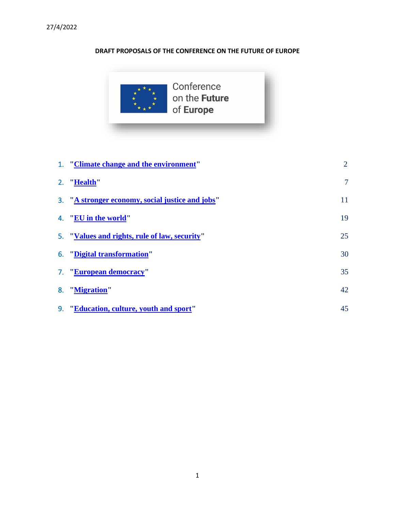# **DRAFT PROPOSALS OF THE CONFERENCE ON THE FUTURE OF EUROPE**



| 1. "Climate change and the environment"          | $\overline{2}$ |
|--------------------------------------------------|----------------|
| 2. "Health"                                      | $\overline{7}$ |
| 3. "A stronger economy, social justice and jobs" | 11             |
| 4. "EU in the world"                             | 19             |
| 5. "Values and rights, rule of law, security"    | 25             |
| 6. "Digital transformation"                      | 30             |
| 7. "European democracy"                          | 35             |
| 8. "Migration"                                   | 42             |
| 9. "Education, culture, youth and sport"         | 45             |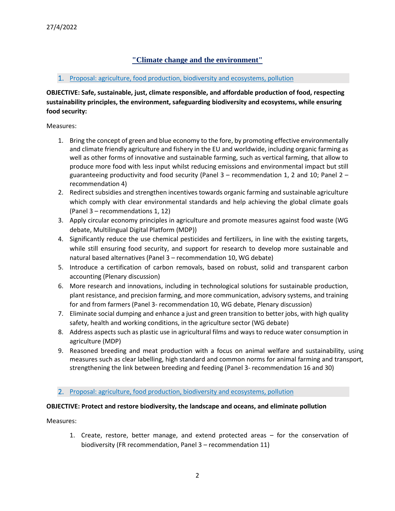# **"Climate change and the environment"**

### <span id="page-1-0"></span>1. Proposal: agriculture, food production, biodiversity and ecosystems, pollution

**OBJECTIVE: Safe, sustainable, just, climate responsible, and affordable production of food, respecting sustainability principles, the environment, safeguarding biodiversity and ecosystems, while ensuring food security:**

Measures:

- 1. Bring the concept of green and blue economy to the fore, by promoting effective environmentally and climate friendly agriculture and fishery in the EU and worldwide, including organic farming as well as other forms of innovative and sustainable farming, such as vertical farming, that allow to produce more food with less input whilst reducing emissions and environmental impact but still guaranteeing productivity and food security (Panel  $3$  – recommendation 1, 2 and 10; Panel 2 – recommendation 4)
- 2. Redirect subsidies and strengthen incentives towards organic farming and sustainable agriculture which comply with clear environmental standards and help achieving the global climate goals (Panel 3 – recommendations 1, 12)
- 3. Apply circular economy principles in agriculture and promote measures against food waste (WG debate, Multilingual Digital Platform (MDP))
- 4. Significantly reduce the use chemical pesticides and fertilizers, in line with the existing targets, while still ensuring food security, and support for research to develop more sustainable and natural based alternatives (Panel 3 – recommendation 10, WG debate)
- 5. Introduce a certification of carbon removals, based on robust, solid and transparent carbon accounting (Plenary discussion)
- 6. More research and innovations, including in technological solutions for sustainable production, plant resistance, and precision farming, and more communication, advisory systems, and training for and from farmers (Panel 3- recommendation 10, WG debate, Plenary discussion)
- 7. Eliminate social dumping and enhance a just and green transition to better jobs, with high quality safety, health and working conditions, in the agriculture sector (WG debate)
- 8. Address aspects such as plastic use in agricultural films and ways to reduce water consumption in agriculture (MDP)
- 9. Reasoned breeding and meat production with a focus on animal welfare and sustainability, using measures such as clear labelling, high standard and common norms for animal farming and transport, strengthening the link between breeding and feeding (Panel 3- recommendation 16 and 30)

#### 2. Proposal: agriculture, food production, biodiversity and ecosystems, pollution

# **OBJECTIVE: Protect and restore biodiversity, the landscape and oceans, and eliminate pollution**

Measures:

1. Create, restore, better manage, and extend protected areas – for the conservation of biodiversity (FR recommendation, Panel 3 – recommendation 11)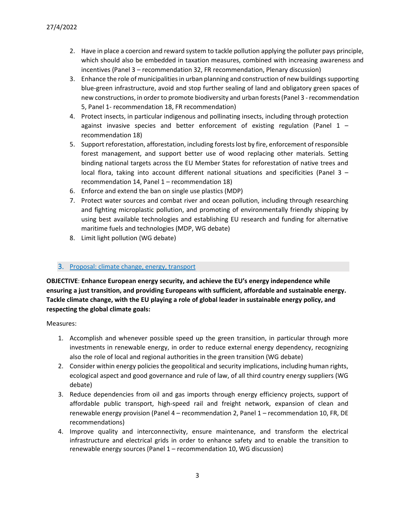- 2. Have in place a coercion and reward system to tackle pollution applying the polluter pays principle, which should also be embedded in taxation measures, combined with increasing awareness and incentives (Panel 3 – recommendation 32, FR recommendation, Plenary discussion)
- 3. Enhance the role of municipalities in urban planning and construction of new buildings supporting blue-green infrastructure, avoid and stop further sealing of land and obligatory green spaces of new constructions, in order to promote biodiversity and urban forests (Panel 3 - recommendation 5, Panel 1- recommendation 18, FR recommendation)
- 4. Protect insects, in particular indigenous and pollinating insects, including through protection against invasive species and better enforcement of existing regulation (Panel  $1$ recommendation 18)
- 5. Support reforestation, afforestation, including forests lost by fire, enforcement of responsible forest management, and support better use of wood replacing other materials. Setting binding national targets across the EU Member States for reforestation of native trees and local flora, taking into account different national situations and specificities (Panel 3 – recommendation 14, Panel 1 – recommendation 18)
- 6. Enforce and extend the ban on single use plastics (MDP)
- 7. Protect water sources and combat river and ocean pollution, including through researching and fighting microplastic pollution, and promoting of environmentally friendly shipping by using best available technologies and establishing EU research and funding for alternative maritime fuels and technologies (MDP, WG debate)
- 8. Limit light pollution (WG debate)

# 3. Proposal: climate change, energy, transport

**OBJECTIVE**: **Enhance European energy security, and achieve the EU's energy independence while ensuring a just transition, and providing Europeans with sufficient, affordable and sustainable energy. Tackle climate change, with the EU playing a role of global leader in sustainable energy policy, and respecting the global climate goals:**

- 1. Accomplish and whenever possible speed up the green transition, in particular through more investments in renewable energy, in order to reduce external energy dependency, recognizing also the role of local and regional authorities in the green transition (WG debate)
- 2. Consider within energy policies the geopolitical and security implications, including human rights, ecological aspect and good governance and rule of law, of all third country energy suppliers (WG debate)
- 3. Reduce dependencies from oil and gas imports through energy efficiency projects, support of affordable public transport, high-speed rail and freight network, expansion of clean and renewable energy provision (Panel 4 – recommendation 2, Panel 1 – recommendation 10, FR, DE recommendations)
- 4. Improve quality and interconnectivity, ensure maintenance, and transform the electrical infrastructure and electrical grids in order to enhance safety and to enable the transition to renewable energy sources (Panel 1 – recommendation 10, WG discussion)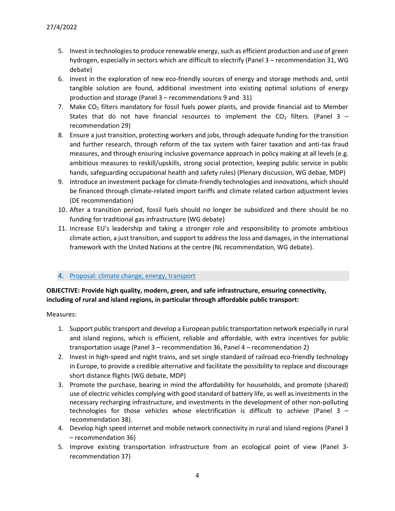- 5. Invest in technologies to produce renewable energy, such as efficient production and use of green hydrogen, especially in sectors which are difficult to electrify (Panel 3 – recommendation 31, WG debate)
- 6. Invest in the exploration of new eco-friendly sources of energy and storage methods and, until tangible solution are found, additional investment into existing optimal solutions of energy production and storage (Panel 3 – recommendations 9 and 31)
- 7. Make CO<sub>2</sub> filters mandatory for fossil fuels power plants, and provide financial aid to Member States that do not have financial resources to implement the  $CO<sub>2</sub>$  filters. (Panel 3 – recommendation 29)
- 8. Ensure a just transition, protecting workers and jobs, through adequate funding for the transition and further research, through reform of the tax system with fairer taxation and anti-tax fraud measures, and through ensuring inclusive governance approach in policy making at all levels (e.g. ambitious measures to reskill/upskills, strong social protection, keeping public service in public hands, safeguarding occupational health and safety rules) (Plenary discussion, WG debae, MDP)
- 9. Introduce an investment package for climate-friendly technologies and innovations, which should be financed through climate-related import tariffs and climate related carbon adjustment levies (DE recommendation)
- 10. After a transition period, fossil fuels should no longer be subsidized and there should be no funding for traditional gas infrastructure (WG debate)
- 11. Increase EU's leadership and taking a stronger role and responsibility to promote ambitious climate action, a just transition, and support to address the loss and damages, in the international framework with the United Nations at the centre (NL recommendation, WG debate).

# 4. Proposal: climate change, energy, transport

# **OBJECTIVE: Provide high quality, modern, green, and safe infrastructure, ensuring connectivity, including of rural and island regions, in particular through affordable public transport:**

- 1. Support public transport and develop a European public transportation network especially in rural and island regions, which is efficient, reliable and affordable, with extra incentives for public transportation usage (Panel 3 – recommendation 36, Panel 4 – recommendation 2)
- 2. Invest in high-speed and night trains, and set single standard of railroad eco-friendly technology in Europe, to provide a credible alternative and facilitate the possibility to replace and discourage short distance flights (WG debate, MDP)
- 3. Promote the purchase, bearing in mind the affordability for households, and promote (shared) use of electric vehicles complying with good standard of battery life, as well as investments in the necessary recharging infrastructure, and investments in the development of other non-polluting technologies for those vehicles whose electrification is difficult to achieve (Panel 3 – recommendation 38).
- 4. Develop high speed internet and mobile network connectivity in rural and island regions (Panel 3 – recommendation 36)
- 5. Improve existing transportation infrastructure from an ecological point of view (Panel 3 recommendation 37)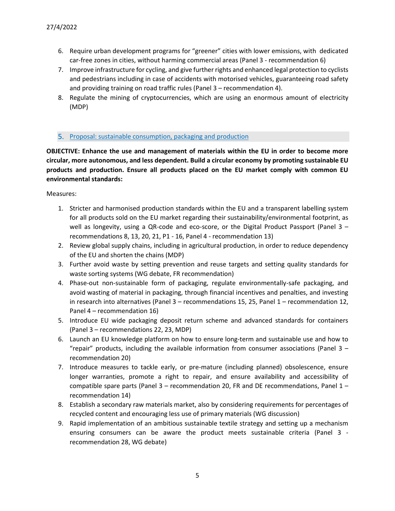- 6. Require urban development programs for "greener" cities with lower emissions, with dedicated car-free zones in cities, without harming commercial areas (Panel 3 - recommendation 6)
- 7. Improve infrastructure for cycling, and give further rights and enhanced legal protection to cyclists and pedestrians including in case of accidents with motorised vehicles, guaranteeing road safety and providing training on road traffic rules (Panel 3 – recommendation 4).
- 8. Regulate the mining of cryptocurrencies, which are using an enormous amount of electricity (MDP)

#### 5. Proposal: sustainable consumption, packaging and production

**OBJECTIVE: Enhance the use and management of materials within the EU in order to become more circular, more autonomous, and less dependent. Build a circular economy by promoting sustainable EU products and production. Ensure all products placed on the EU market comply with common EU environmental standards:**

- 1. Stricter and harmonised production standards within the EU and a transparent labelling system for all products sold on the EU market regarding their sustainability/environmental footprint, as well as longevity, using a QR-code and eco-score, or the Digital Product Passport (Panel 3 – recommendations 8, 13, 20, 21, P1 - 16, Panel 4 - recommendation 13)
- 2. Review global supply chains, including in agricultural production, in order to reduce dependency of the EU and shorten the chains (MDP)
- 3. Further avoid waste by setting prevention and reuse targets and setting quality standards for waste sorting systems (WG debate, FR recommendation)
- 4. Phase-out non-sustainable form of packaging, regulate environmentally-safe packaging, and avoid wasting of material in packaging, through financial incentives and penalties, and investing in research into alternatives (Panel 3 – recommendations 15, 25, Panel 1 – recommendation 12, Panel 4 – recommendation 16)
- 5. Introduce EU wide packaging deposit return scheme and advanced standards for containers (Panel 3 – recommendations 22, 23, MDP)
- 6. Launch an EU knowledge platform on how to ensure long-term and sustainable use and how to "repair" products, including the available information from consumer associations (Panel  $3$ recommendation 20)
- 7. Introduce measures to tackle early, or pre-mature (including planned) obsolescence, ensure longer warranties, promote a right to repair, and ensure availability and accessibility of compatible spare parts (Panel  $3$  – recommendation 20, FR and DE recommendations, Panel  $1$  – recommendation 14)
- 8. Establish a secondary raw materials market, also by considering requirements for percentages of recycled content and encouraging less use of primary materials (WG discussion)
- 9. Rapid implementation of an ambitious sustainable textile strategy and setting up a mechanism ensuring consumers can be aware the product meets sustainable criteria (Panel 3 recommendation 28, WG debate)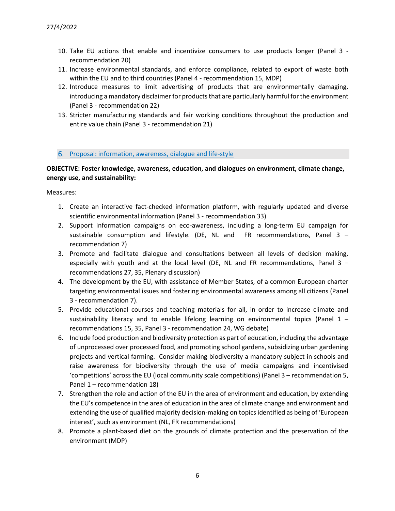- 10. Take EU actions that enable and incentivize consumers to use products longer (Panel 3 recommendation 20)
- 11. Increase environmental standards, and enforce compliance, related to export of waste both within the EU and to third countries (Panel 4 - recommendation 15, MDP)
- 12. Introduce measures to limit advertising of products that are environmentally damaging, introducing a mandatory disclaimer for products that are particularly harmful for the environment (Panel 3 - recommendation 22)
- 13. Stricter manufacturing standards and fair working conditions throughout the production and entire value chain (Panel 3 - recommendation 21)

#### 6. Proposal: information, awareness, dialogue and life-style

### **OBJECTIVE: Foster knowledge, awareness, education, and dialogues on environment, climate change, energy use, and sustainability:**

- 1. Create an interactive fact-checked information platform, with regularly updated and diverse scientific environmental information (Panel 3 - recommendation 33)
- 2. Support information campaigns on eco-awareness, including a long-term EU campaign for sustainable consumption and lifestyle. (DE, NL and FR recommendations, Panel 3 – recommendation 7)
- 3. Promote and facilitate dialogue and consultations between all levels of decision making, especially with youth and at the local level (DE, NL and FR recommendations, Panel  $3$ recommendations 27, 35, Plenary discussion)
- 4. The development by the EU, with assistance of Member States, of a common European charter targeting environmental issues and fostering environmental awareness among all citizens (Panel 3 - recommendation 7).
- 5. Provide educational courses and teaching materials for all, in order to increase climate and sustainability literacy and to enable lifelong learning on environmental topics (Panel  $1$ recommendations 15, 35, Panel 3 - recommendation 24, WG debate)
- 6. Include food production and biodiversity protection as part of education, including the advantage of unprocessed over processed food, and promoting school gardens, subsidizing urban gardening projects and vertical farming. Consider making biodiversity a mandatory subject in schools and raise awareness for biodiversity through the use of media campaigns and incentivised 'competitions' across the EU (local community scale competitions) (Panel 3 – recommendation 5, Panel 1 – recommendation 18)
- 7. Strengthen the role and action of the EU in the area of environment and education, by extending the EU's competence in the area of education in the area of climate change and environment and extending the use of qualified majority decision-making on topics identified as being of 'European interest', such as environment (NL, FR recommendations)
- <span id="page-5-0"></span>8. Promote a plant-based diet on the grounds of climate protection and the preservation of the environment (MDP)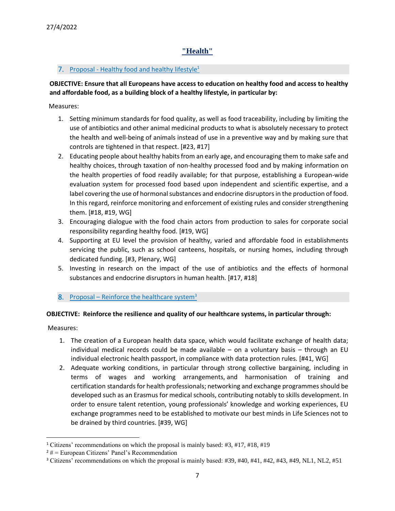# **"Health"**

# 7. Proposal - Healthy food and healthy lifestyle<sup>1</sup>

# **OBJECTIVE: Ensure that all Europeans have access to education on healthy food and access to healthy and affordable food, as a building block of a healthy lifestyle, in particular by:**

Measures:

- 1. Setting minimum standards for food quality, as well as food traceability, including by limiting the use of antibiotics and other animal medicinal products to what is absolutely necessary to protect the health and well-being of animals instead of use in a preventive way and by making sure that controls are tightened in that respect. [#23, #17]
- 2. Educating people about healthy habits from an early age, and encouraging them to make safe and healthy choices, through taxation of non-healthy processed food and by making information on the health properties of food readily available; for that purpose, establishing a European-wide evaluation system for processed food based upon independent and scientific expertise, and a label covering the use of hormonal substances and endocrine disruptors in the production of food. In this regard, reinforce monitoring and enforcement of existing rules and consider strengthening them. [#18, #19, WG]
- 3. Encouraging dialogue with the food chain actors from production to sales for corporate social responsibility regarding healthy food. [#19, WG]
- 4. Supporting at EU level the provision of healthy, varied and affordable food in establishments servicing the public, such as school canteens, hospitals, or nursing homes, including through dedicated funding. [#3, Plenary, WG]
- 5. Investing in research on the impact of the use of antibiotics and the effects of hormonal substances and endocrine disruptors in human health. [#17, #18]
- 8. Proposal Reinforce the healthcare system $3$

# **OBJECTIVE: Reinforce the resilience and quality of our healthcare systems, in particular through:**

- 1. The creation of a European health data space, which would facilitate exchange of health data; individual medical records could be made available – on a voluntary basis – through an EU individual electronic health passport, in compliance with data protection rules. [#41, WG]
- 2. Adequate working conditions, in particular through strong collective bargaining, including in terms of wages and working arrangements, and harmonisation of training and certification standards for health professionals; networking and exchange programmes should be developed such as an Erasmus for medical schools, contributing notably to skills development. In order to ensure talent retention, young professionals' knowledge and working experiences, EU exchange programmes need to be established to motivate our best minds in Life Sciences not to be drained by third countries. [#39, WG]

<sup>1</sup> Citizens' recommendations on which the proposal is mainly based: #3, #17, #18, #19

 $2 \# =$  European Citizens' Panel's Recommendation

<sup>3</sup> Citizens' recommendations on which the proposal is mainly based: #39, #40, #41, #42, #43, #49, NL1, NL2, #51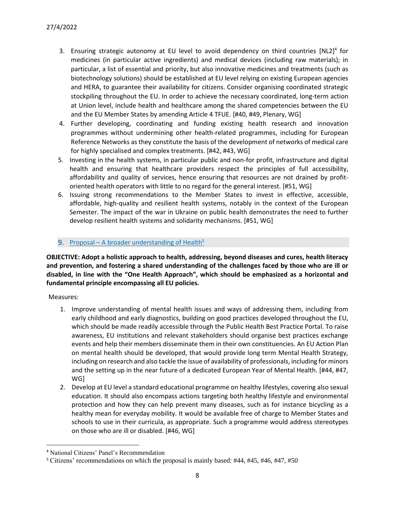- 3. Ensuring strategic autonomy at EU level to avoid dependency on third countries  $[NL2]^4$  for medicines (in particular active ingredients) and medical devices (including raw materials); in particular, a list of essential and priority, but also innovative medicines and treatments (such as biotechnology solutions) should be established at EU level relying on existing European agencies and HERA, to guarantee their availability for citizens. Consider organising coordinated strategic stockpiling throughout the EU. In order to achieve the necessary coordinated, long-term action at Union level, include health and healthcare among the shared competencies between the EU and the EU Member States by amending Article 4 TFUE. [#40, #49, Plenary, WG]
- 4. Further developing, coordinating and funding existing health research and innovation programmes without undermining other health-related programmes, including for European Reference Networks as they constitute the basis of the development of networks of medical care for highly specialised and complex treatments. [#42, #43, WG]
- 5. Investing in the health systems, in particular public and non-for profit, infrastructure and digital health and ensuring that healthcare providers respect the principles of full accessibility, affordability and quality of services, hence ensuring that resources are not drained by profitoriented health operators with little to no regard for the general interest. [#51, WG]
- 6. Issuing strong recommendations to the Member States to invest in effective, accessible, affordable, high-quality and resilient health systems, notably in the context of the European Semester. The impact of the war in Ukraine on public health demonstrates the need to further develop resilient health systems and solidarity mechanisms. [#51, WG]

# 9. Proposal – A broader understanding of Health $5$

**OBJECTIVE: Adopt a holistic approach to health, addressing, beyond diseases and cures, health literacy and prevention, and fostering a shared understanding of the challenges faced by those who are ill or disabled, in line with the "One Health Approach", which should be emphasized as a horizontal and fundamental principle encompassing all EU policies.** 

- 1. Improve understanding of mental health issues and ways of addressing them, including from early childhood and early diagnostics, building on good practices developed throughout the EU, which should be made readily accessible through the Public Health Best Practice Portal. To raise awareness, EU institutions and relevant stakeholders should organise best practices exchange events and help their members disseminate them in their own constituencies. An EU Action Plan on mental health should be developed, that would provide long term Mental Health Strategy, including on research and also tackle the issue of availability of professionals, including for minors and the setting up in the near future of a dedicated European Year of Mental Health. [#44, #47, WG]
- 2. Develop at EU level a standard educational programme on healthy lifestyles, covering also sexual education. It should also encompass actions targeting both healthy lifestyle and environmental protection and how they can help prevent many diseases, such as for instance bicycling as a healthy mean for everyday mobility. It would be available free of charge to Member States and schools to use in their curricula, as appropriate. Such a programme would address stereotypes on those who are ill or disabled. [#46, WG]

<sup>4</sup> National Citizens' Panel's Recommendation

<sup>5</sup> Citizens' recommendations on which the proposal is mainly based: #44, #45, #46, #47, #50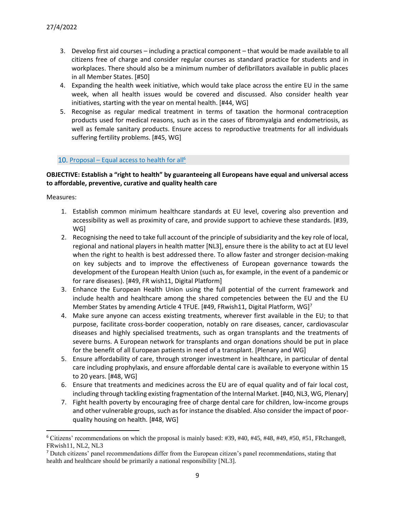- 3. Develop first aid courses including a practical component that would be made available to all citizens free of charge and consider regular courses as standard practice for students and in workplaces. There should also be a minimum number of defibrillators available in public places in all Member States. [#50]
- 4. Expanding the health week initiative, which would take place across the entire EU in the same week, when all health issues would be covered and discussed. Also consider health year initiatives, starting with the year on mental health. [#44, WG]
- 5. Recognise as regular medical treatment in terms of taxation the hormonal contraception products used for medical reasons, such as in the cases of fibromyalgia and endometriosis, as well as female sanitary products. Ensure access to reproductive treatments for all individuals suffering fertility problems. [#45, WG]

### 10. Proposal – Equal access to health for all<sup>6</sup>

### **OBJECTIVE: Establish a "right to health" by guaranteeing all Europeans have equal and universal access to affordable, preventive, curative and quality health care**

- 1. Establish common minimum healthcare standards at EU level, covering also prevention and accessibility as well as proximity of care, and provide support to achieve these standards. [#39, WG]
- 2. Recognising the need to take full account of the principle of subsidiarity and the key role of local, regional and national players in health matter [NL3], ensure there is the ability to act at EU level when the right to health is best addressed there. To allow faster and stronger decision-making on key subjects and to improve the effectiveness of European governance towards the development of the European Health Union (such as, for example, in the event of a pandemic or for rare diseases). [#49, FR wish11, Digital Platform]
- 3. Enhance the European Health Union using the full potential of the current framework and include health and healthcare among the shared competencies between the EU and the EU Member States by amending Article 4 TFUE. [#49, FRwish11, Digital Platform, WG]<sup>7</sup>
- 4. Make sure anyone can access existing treatments, wherever first available in the EU; to that purpose, facilitate cross-border cooperation, notably on rare diseases, cancer, cardiovascular diseases and highly specialised treatments, such as organ transplants and the treatments of severe burns. A European network for transplants and organ donations should be put in place for the benefit of all European patients in need of a transplant. [Plenary and WG]
- 5. Ensure affordability of care, through stronger investment in healthcare, in particular of dental care including prophylaxis, and ensure affordable dental care is available to everyone within 15 to 20 years. [#48, WG]
- 6. Ensure that treatments and medicines across the EU are of equal quality and of fair local cost, including through tackling existing fragmentation of the Internal Market. [#40, NL3, WG, Plenary]
- 7. Fight health poverty by encouraging free of charge dental care for children, low-income groups and other vulnerable groups, such as for instance the disabled. Also consider the impact of poorquality housing on health. [#48, WG]

<sup>6</sup> Citizens' recommendations on which the proposal is mainly based: #39, #40, #45, #48, #49, #50, #51, FRchange8, FRwish11, NL2, NL3

<sup>7</sup> Dutch citizens' panel recommendations differ from the European citizen's panel recommendations, stating that health and healthcare should be primarily a national responsibility [NL3].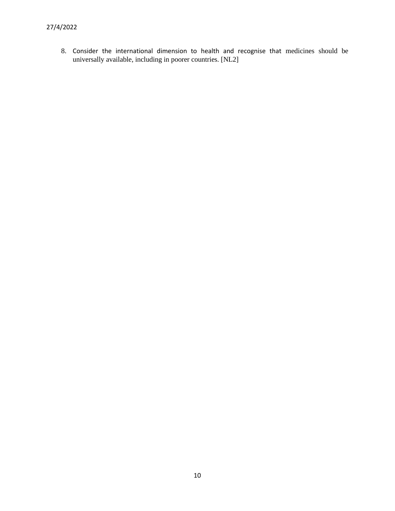<span id="page-9-0"></span>8. Consider the international dimension to health and recognise that medicines should be universally available, including in poorer countries. [NL2]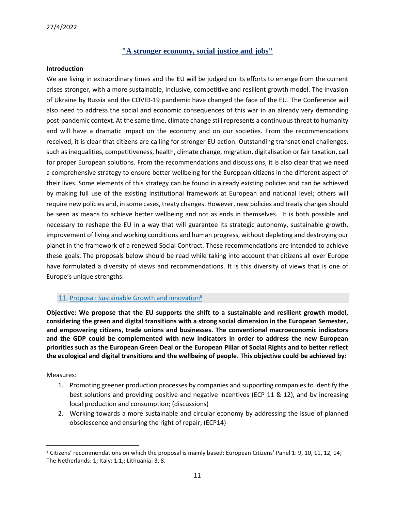# **"A stronger economy, social justice and jobs"**

#### **Introduction**

We are living in extraordinary times and the EU will be judged on its efforts to emerge from the current crises stronger, with a more sustainable, inclusive, competitive and resilient growth model. The invasion of Ukraine by Russia and the COVID-19 pandemic have changed the face of the EU. The Conference will also need to address the social and economic consequences of this war in an already very demanding post-pandemic context. At the same time, climate change still represents a continuous threat to humanity and will have a dramatic impact on the economy and on our societies. From the recommendations received, it is clear that citizens are calling for stronger EU action. Outstanding transnational challenges, such as inequalities, competitiveness, health, climate change, migration, digitalisation or fair taxation, call for proper European solutions. From the recommendations and discussions, it is also clear that we need a comprehensive strategy to ensure better wellbeing for the European citizens in the different aspect of their lives. Some elements of this strategy can be found in already existing policies and can be achieved by making full use of the existing institutional framework at European and national level; others will require new policies and, in some cases, treaty changes. However, new policies and treaty changes should be seen as means to achieve better wellbeing and not as ends in themselves. It is both possible and necessary to reshape the EU in a way that will guarantee its strategic autonomy, sustainable growth, improvement of living and working conditions and human progress, without depleting and destroying our planet in the framework of a renewed Social Contract. These recommendations are intended to achieve these goals. The proposals below should be read while taking into account that citizens all over Europe have formulated a diversity of views and recommendations. It is this diversity of views that is one of Europe's unique strengths.

#### 11. Proposal: Sustainable Growth and innovation<sup>8</sup>

**Objective: We propose that the EU supports the shift to a sustainable and resilient growth model, considering the green and digital transitions with a strong social dimension in the European Semester, and empowering citizens, trade unions and businesses. The conventional macroeconomic indicators and the GDP could be complemented with new indicators in order to address the new European priorities such as the European Green Deal or the European Pillar of Social Rights and to better reflect the ecological and digital transitions and the wellbeing of people. This objective could be achieved by:**

- 1. Promoting greener production processes by companies and supporting companies to identify the best solutions and providing positive and negative incentives (ECP 11 & 12), and by increasing local production and consumption; (discussions)
- 2. Working towards a more sustainable and circular economy by addressing the issue of planned obsolescence and ensuring the right of repair; (ECP14)

<sup>8</sup> Citizens' recommendations on which the proposal is mainly based: European Citizens' Panel 1: 9, 10, 11, 12, 14; The Netherlands: 1; Italy: 1.1,; Lithuania: 3, 8.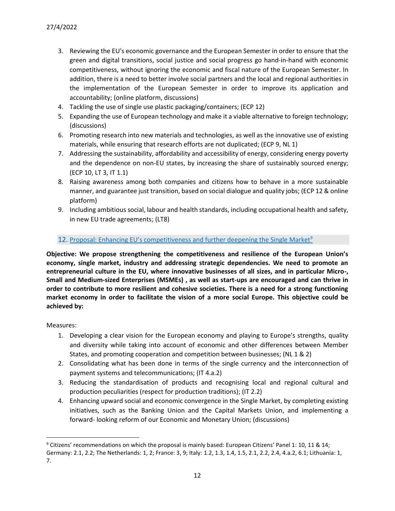- 3. Reviewing the EU's economic governance and the European Semester in order to ensure that the green and digital transitions, social justice and social progress go hand-in-hand with economic competitiveness, without ignoring the economic and fiscal nature of the European Semester. In addition, there is a need to better involve social partners and the local and regional authorities in the implementation of the European Semester in order to improve its application and accountability; (online platform, discussions)
- 4. Tackling the use of single use plastic packaging/containers; (ECP 12)
- 5. Expanding the use of European technology and make it a viable alternative to foreign technology; (discussions)
- 6. Promoting research into new materials and technologies, as well as the innovative use of existing materials, while ensuring that research efforts are not duplicated; (ECP 9, NL 1)
- 7. Addressing the sustainability, affordability and accessibility of energy, considering energy poverty and the dependence on non-EU states, by increasing the share of sustainably sourced energy; (ECP 10, LT 3, IT 1.1)
- 8. Raising awareness among both companies and citizens how to behave in a more sustainable manner, and guarantee just transition, based on social dialogue and quality jobs; (ECP 12 & online platform)
- 9. Including ambitious social, labour and health standards, including occupational health and safety, in new EU trade agreements; (LT8)

### 12. Proposal: Enhancing EU's competitiveness and further deepening the Single Market<sup>9</sup>

**Objective: We propose strengthening the competitiveness and resilience of the European Union's economy, single market, industry and addressing strategic dependencies. We need to promote an entrepreneurial culture in the EU, where innovative businesses of all sizes, and in particular Micro-, Small and Medium-sized Enterprises (MSMEs) , as well as start-ups are encouraged and can thrive in order to contribute to more resilient and cohesive societies. There is a need for a strong functioning market economy in order to facilitate the vision of a more social Europe. This objective could be achieved by:**

- 1. Developing a clear vision for the European economy and playing to Europe's strengths, quality and diversity while taking into account of economic and other differences between Member States, and promoting cooperation and competition between businesses; (NL 1 & 2)
- 2. Consolidating what has been done in terms of the single currency and the interconnection of payment systems and telecommunications; (IT 4.a.2)
- 3. Reducing the standardisation of products and recognising local and regional cultural and production peculiarities (respect for production traditions); (IT 2.2)
- 4. Enhancing upward social and economic convergence in the Single Market, by completing existing initiatives, such as the Banking Union and the Capital Markets Union, and implementing a forward- looking reform of our Economic and Monetary Union; (discussions)

<sup>9</sup> Citizens' recommendations on which the proposal is mainly based: European Citizens' Panel 1: 10, 11 & 14; Germany: 2.1, 2.2; The Netherlands: 1, 2; France: 3, 9; Italy: 1.2, 1.3, 1.4, 1.5, 2.1, 2.2, 2.4, 4.a.2, 6.1; Lithuania: 1, 7.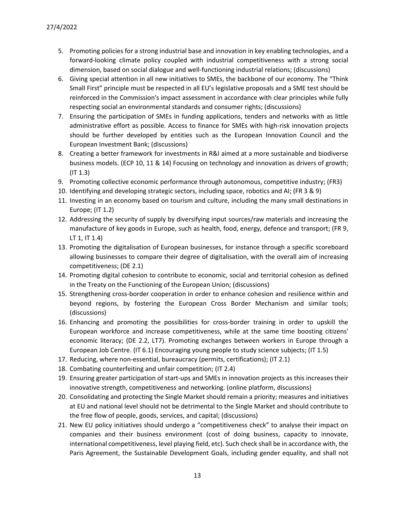- 5. Promoting policies for a strong industrial base and innovation in key enabling technologies, and a forward-looking climate policy coupled with industrial competitiveness with a strong social dimension, based on social dialogue and well-functioning industrial relations; (discussions)
- 6. Giving special attention in all new initiatives to SMEs, the backbone of our economy. The "Think Small First" principle must be respected in all EU's legislative proposals and a SME test should be reinforced in the Commission's impact assessment in accordance with clear principles while fully respecting social an environmental standards and consumer rights; (discussions)
- 7. Ensuring the participation of SMEs in funding applications, tenders and networks with as little administrative effort as possible. Access to finance for SMEs with high-risk innovation projects should be further developed by entities such as the European Innovation Council and the European Investment Bank; (discussions)
- 8. Creating a better framework for investments in R&I aimed at a more sustainable and biodiverse business models. (ECP 10, 11 & 14) Focusing on technology and innovation as drivers of growth; (IT 1.3)
- 9. Promoting collective economic performance through autonomous, competitive industry; (FR3)
- 10. Identifying and developing strategic sectors, including space, robotics and AI; (FR 3 & 9)
- 11. Investing in an economy based on tourism and culture, including the many small destinations in Europe; (IT 1.2)
- 12. Addressing the security of supply by diversifying input sources/raw materials and increasing the manufacture of key goods in Europe, such as health, food, energy, defence and transport; (FR 9, LT 1, IT 1.4)
- 13. Promoting the digitalisation of European businesses, for instance through a specific scoreboard allowing businesses to compare their degree of digitalisation, with the overall aim of increasing competitiveness; (DE 2.1)
- 14. Promoting digital cohesion to contribute to economic, social and territorial cohesion as defined in the Treaty on the Functioning of the European Union; (discussions)
- 15. Strengthening cross-border cooperation in order to enhance cohesion and resilience within and beyond regions, by fostering the European Cross Border Mechanism and similar tools; (discussions)
- 16. Enhancing and promoting the possibilities for cross-border training in order to upskill the European workforce and increase competitiveness, while at the same time boosting citizens' economic literacy; (DE 2.2, LT7). Promoting exchanges between workers in Europe through a European Job Centre. (IT 6.1) Encouraging young people to study science subjects; (IT 1.5)
- 17. Reducing, where non-essential, bureaucracy (permits, certifications); (IT 2.1)
- 18. Combating counterfeiting and unfair competition; (IT 2.4)
- 19. Ensuring greater participation of start-ups and SMEs in innovation projects as this increases their innovative strength, competitiveness and networking. (online platform, discussions)
- 20. Consolidating and protecting the Single Market should remain a priority; measures and initiatives at EU and national level should not be detrimental to the Single Market and should contribute to the free flow of people, goods, services, and capital; (discussions)
- 21. New EU policy initiatives should undergo a "competitiveness check" to analyse their impact on companies and their business environment (cost of doing business, capacity to innovate, international competitiveness, level playing field, etc). Such check shall be in accordance with, the Paris Agreement, the Sustainable Development Goals, including gender equality, and shall not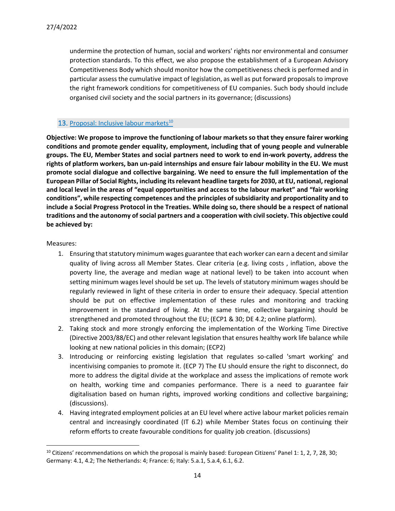undermine the protection of human, social and workers' rights nor environmental and consumer protection standards. To this effect, we also propose the establishment of a European Advisory Competitiveness Body which should monitor how the competitiveness check is performed and in particular assess the cumulative impact of legislation, as well as put forward proposals to improve the right framework conditions for competitiveness of EU companies. Such body should include organised civil society and the social partners in its governance; (discussions)

### 13. Proposal: Inclusive labour markets<sup>10</sup>

**Objective: We propose to improve the functioning of labour markets so that they ensure fairer working conditions and promote gender equality, employment, including that of young people and vulnerable groups. The EU, Member States and social partners need to work to end in-work poverty, address the rights of platform workers, ban un-paid internships and ensure fair labour mobility in the EU. We must promote social dialogue and collective bargaining. We need to ensure the full implementation of the European Pillar of Social Rights, including its relevant headline targets for 2030, at EU, national, regional and local level in the areas of "equal opportunities and access to the labour market" and "fair working conditions", while respecting competences and the principles of subsidiarity and proportionality and to include a Social Progress Protocol in the Treaties. While doing so, there should be a respect of national traditions and the autonomy of social partners and a cooperation with civil society. This objective could be achieved by:**

- 1. Ensuring that statutory minimum wages guarantee that each worker can earn a decent and similar quality of living across all Member States. Clear criteria (e.g. living costs , inflation, above the poverty line, the average and median wage at national level) to be taken into account when setting minimum wages level should be set up. The levels of statutory minimum wages should be regularly reviewed in light of these criteria in order to ensure their adequacy. Special attention should be put on effective implementation of these rules and monitoring and tracking improvement in the standard of living. At the same time, collective bargaining should be strengthened and promoted throughout the EU; (ECP1 & 30; DE 4.2; online platform).
- 2. Taking stock and more strongly enforcing the implementation of the Working Time Directive (Directive 2003/88/EC) and other relevant legislation that ensures healthy work life balance while looking at new national policies in this domain; (ECP2)
- 3. Introducing or reinforcing existing legislation that regulates so-called 'smart working' and incentivising companies to promote it. (ECP 7) The EU should ensure the right to disconnect, do more to address the digital divide at the workplace and assess the implications of remote work on health, working time and companies performance. There is a need to guarantee fair digitalisation based on human rights, improved working conditions and collective bargaining; (discussions).
- 4. Having integrated employment policies at an EU level where active labour market policies remain central and increasingly coordinated (IT 6.2) while Member States focus on continuing their reform efforts to create favourable conditions for quality job creation. (discussions)

<sup>&</sup>lt;sup>10</sup> Citizens' recommendations on which the proposal is mainly based: European Citizens' Panel 1: 1, 2, 7, 28, 30; Germany: 4.1, 4.2; The Netherlands: 4; France: 6; Italy: 5.a.1, 5.a.4, 6.1, 6.2.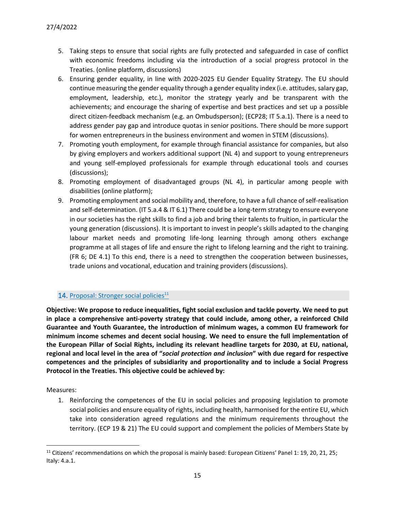- 5. Taking steps to ensure that social rights are fully protected and safeguarded in case of conflict with economic freedoms including via the introduction of a social progress protocol in the Treaties. (online platform, discussions)
- 6. Ensuring gender equality, in line with 2020-2025 EU Gender Equality Strategy. The EU should continue measuring the gender equality through a gender equality index (i.e. attitudes, salary gap, employment, leadership, etc.), monitor the strategy yearly and be transparent with the achievements; and encourage the sharing of expertise and best practices and set up a possible direct citizen-feedback mechanism (e.g. an Ombudsperson); (ECP28; IT 5.a.1). There is a need to address gender pay gap and introduce quotas in senior positions. There should be more support for women entrepreneurs in the business environment and women in STEM (discussions).
- 7. Promoting youth employment, for example through financial assistance for companies, but also by giving employers and workers additional support (NL 4) and support to young entrepreneurs and young self-employed professionals for example through educational tools and courses (discussions);
- 8. Promoting employment of disadvantaged groups (NL 4), in particular among people with disabilities (online platform);
- 9. Promoting employment and social mobility and, therefore, to have a full chance of self-realisation and self-determination. (IT 5.a.4 & IT 6.1) There could be a long-term strategy to ensure everyone in our societies has the right skills to find a job and bring their talents to fruition, in particular the young generation (discussions). It is important to invest in people's skills adapted to the changing labour market needs and promoting life-long learning through among others exchange programme at all stages of life and ensure the right to lifelong learning and the right to training. (FR 6; DE 4.1) To this end, there is a need to strengthen the cooperation between businesses, trade unions and vocational, education and training providers (discussions).

# 14. Proposal: Stronger social policies<sup>11</sup>

**Objective: We propose to reduce inequalities, fight social exclusion and tackle poverty. We need to put in place a comprehensive anti-poverty strategy that could include, among other, a reinforced Child Guarantee and Youth Guarantee, the introduction of minimum wages, a common EU framework for minimum income schemes and decent social housing. We need to ensure the full implementation of the European Pillar of Social Rights, including its relevant headline targets for 2030, at EU, national, regional and local level in the area of "***social protection and inclusion***" with due regard for respective competences and the principles of subsidiarity and proportionality and to include a Social Progress Protocol in the Treaties. This objective could be achieved by:**

Measures:

1. Reinforcing the competences of the EU in social policies and proposing legislation to promote social policies and ensure equality of rights, including health, harmonised for the entire EU, which take into consideration agreed regulations and the minimum requirements throughout the territory. (ECP 19 & 21) The EU could support and complement the policies of Members State by

<sup>&</sup>lt;sup>11</sup> Citizens' recommendations on which the proposal is mainly based: European Citizens' Panel 1: 19, 20, 21, 25; Italy: 4.a.1.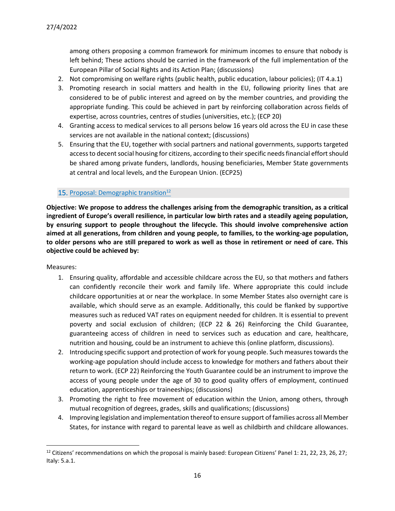among others proposing a common framework for minimum incomes to ensure that nobody is left behind; These actions should be carried in the framework of the full implementation of the European Pillar of Social Rights and its Action Plan; (discussions)

- 2. Not compromising on welfare rights (public health, public education, labour policies); (IT 4.a.1)
- 3. Promoting research in social matters and health in the EU, following priority lines that are considered to be of public interest and agreed on by the member countries, and providing the appropriate funding. This could be achieved in part by reinforcing collaboration across fields of expertise, across countries, centres of studies (universities, etc.); (ECP 20)
- 4. Granting access to medical services to all persons below 16 years old across the EU in case these services are not available in the national context; (discussions)
- 5. Ensuring that the EU, together with social partners and national governments, supports targeted access to decent social housing for citizens, according to their specific needs financial effort should be shared among private funders, landlords, housing beneficiaries, Member State governments at central and local levels, and the European Union. (ECP25)

### 15. Proposal: Demographic transition $12$

**Objective: We propose to address the challenges arising from the demographic transition, as a critical ingredient of Europe's overall resilience, in particular low birth rates and a steadily ageing population, by ensuring support to people throughout the lifecycle. This should involve comprehensive action aimed at all generations, from children and young people, to families, to the working-age population, to older persons who are still prepared to work as well as those in retirement or need of care. This objective could be achieved by:**

- 1. Ensuring quality, affordable and accessible childcare across the EU, so that mothers and fathers can confidently reconcile their work and family life. Where appropriate this could include childcare opportunities at or near the workplace. In some Member States also overnight care is available, which should serve as an example. Additionally, this could be flanked by supportive measures such as reduced VAT rates on equipment needed for children. It is essential to prevent poverty and social exclusion of children; (ECP 22 & 26) Reinforcing the Child Guarantee, guaranteeing access of children in need to services such as education and care, healthcare, nutrition and housing, could be an instrument to achieve this (online platform, discussions).
- 2. Introducing specific support and protection of work for young people. Such measures towards the working-age population should include access to knowledge for mothers and fathers about their return to work. (ECP 22) Reinforcing the Youth Guarantee could be an instrument to improve the access of young people under the age of 30 to good quality offers of employment, continued education, apprenticeships or traineeships; (discussions)
- 3. Promoting the right to free movement of education within the Union, among others, through mutual recognition of degrees, grades, skills and qualifications; (discussions)
- 4. Improving legislation and implementation thereof to ensure support of families across all Member States, for instance with regard to parental leave as well as childbirth and childcare allowances.

 $12$  Citizens' recommendations on which the proposal is mainly based: European Citizens' Panel 1: 21, 22, 23, 26, 27; Italy: 5.a.1.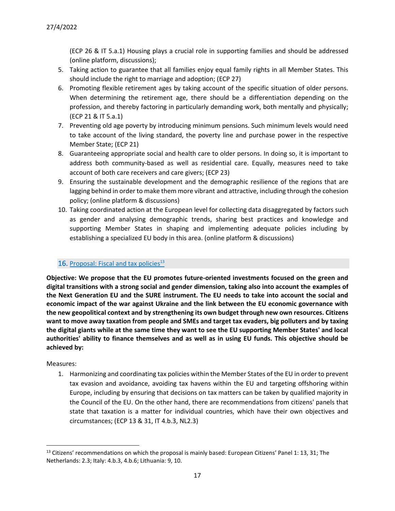(ECP 26 & IT 5.a.1) Housing plays a crucial role in supporting families and should be addressed (online platform, discussions);

- 5. Taking action to guarantee that all families enjoy equal family rights in all Member States. This should include the right to marriage and adoption; (ECP 27)
- 6. Promoting flexible retirement ages by taking account of the specific situation of older persons. When determining the retirement age, there should be a differentiation depending on the profession, and thereby factoring in particularly demanding work, both mentally and physically; (ECP 21 & IT 5.a.1)
- 7. Preventing old age poverty by introducing minimum pensions. Such minimum levels would need to take account of the living standard, the poverty line and purchase power in the respective Member State; (ECP 21)
- 8. Guaranteeing appropriate social and health care to older persons. In doing so, it is important to address both community-based as well as residential care. Equally, measures need to take account of both care receivers and care givers; (ECP 23)
- 9. Ensuring the sustainable development and the demographic resilience of the regions that are lagging behind in order to make them more vibrant and attractive, including through the cohesion policy; (online platform & discussions)
- 10. Taking coordinated action at the European level for collecting data disaggregated by factors such as gender and analysing demographic trends, sharing best practices and knowledge and supporting Member States in shaping and implementing adequate policies including by establishing a specialized EU body in this area. (online platform & discussions)

# 16. Proposal: Fiscal and tax policies $13$

**Objective: We propose that the EU promotes future-oriented investments focused on the green and digital transitions with a strong social and gender dimension, taking also into account the examples of the Next Generation EU and the SURE instrument. The EU needs to take into account the social and economic impact of the war against Ukraine and the link between the EU economic governance with the new geopolitical context and by strengthening its own budget through new own resources. Citizens want to move away taxation from people and SMEs and target tax evaders, big polluters and by taxing the digital giants while at the same time they want to see the EU supporting Member States' and local authorities' ability to finance themselves and as well as in using EU funds. This objective should be achieved by:**

# Measures:

1. Harmonizing and coordinating tax policies within the Member States of the EU in order to prevent tax evasion and avoidance, avoiding tax havens within the EU and targeting offshoring within Europe, including by ensuring that decisions on tax matters can be taken by qualified majority in the Council of the EU. On the other hand, there are recommendations from citizens' panels that state that taxation is a matter for individual countries, which have their own objectives and circumstances; (ECP 13 & 31, IT 4.b.3, NL2.3)

 $13$  Citizens' recommendations on which the proposal is mainly based: European Citizens' Panel 1: 13, 31; The Netherlands: 2.3; Italy: 4.b.3, 4.b.6; Lithuania: 9, 10.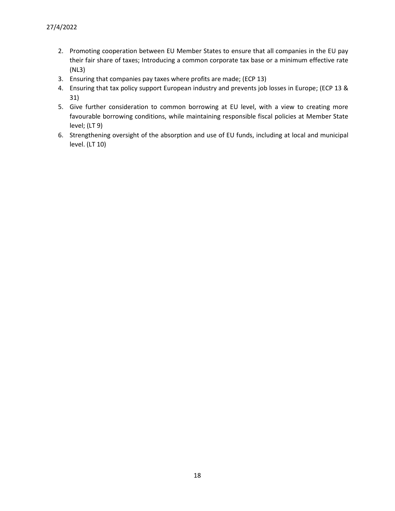- 2. Promoting cooperation between EU Member States to ensure that all companies in the EU pay their fair share of taxes; Introducing a common corporate tax base or a minimum effective rate (NL3)
- 3. Ensuring that companies pay taxes where profits are made; (ECP 13)
- 4. Ensuring that tax policy support European industry and prevents job losses in Europe; (ECP 13 & 31)
- 5. Give further consideration to common borrowing at EU level, with a view to creating more favourable borrowing conditions, while maintaining responsible fiscal policies at Member State level; (LT 9)
- 6. Strengthening oversight of the absorption and use of EU funds, including at local and municipal level. (LT 10)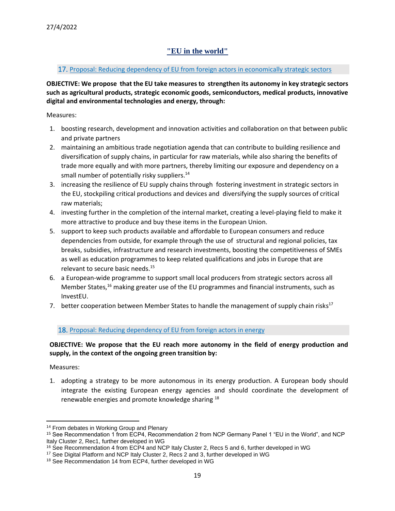# **"EU in the world"**

### <span id="page-18-0"></span>17. Proposal: Reducing dependency of EU from foreign actors in economically strategic sectors

**OBJECTIVE: We propose that the EU take measures to strengthen its autonomy in key strategic sectors such as agricultural products, strategic economic goods, semiconductors, medical products, innovative digital and environmental technologies and energy, through:**

Measures:

- 1. boosting research, development and innovation activities and collaboration on that between public and private partners
- 2. maintaining an ambitious trade negotiation agenda that can contribute to building resilience and diversification of supply chains, in particular for raw materials, while also sharing the benefits of trade more equally and with more partners, thereby limiting our exposure and dependency on a small number of potentially risky suppliers.<sup>14</sup>
- 3. increasing the resilience of EU supply chains through fostering investment in strategic sectors in the EU, stockpiling critical productions and devices and diversifying the supply sources of critical raw materials;
- 4. investing further in the completion of the internal market, creating a level-playing field to make it more attractive to produce and buy these items in the European Union.
- 5. support to keep such products available and affordable to European consumers and reduce dependencies from outside, for example through the use of structural and regional policies, tax breaks, subsidies, infrastructure and research investments, boosting the competitiveness of SMEs as well as education programmes to keep related qualifications and jobs in Europe that are relevant to secure basic needs.<sup>15</sup>
- 6. a European-wide programme to support small local producers from strategic sectors across all Member States,<sup>16</sup> making greater use of the EU programmes and financial instruments, such as InvestEU.
- 7. better cooperation between Member States to handle the management of supply chain risks<sup>17</sup>

# 18. Proposal: Reducing dependency of EU from foreign actors in energy

# **OBJECTIVE: We propose that the EU reach more autonomy in the field of energy production and supply, in the context of the ongoing green transition by:**

Measures:

1. adopting a strategy to be more autonomous in its energy production. A European body should integrate the existing European energy agencies and should coordinate the development of renewable energies and promote knowledge sharing <sup>18</sup>

<sup>&</sup>lt;sup>14</sup> From debates in Working Group and Plenary

<sup>15</sup> See Recommendation 1 from ECP4, Recommendation 2 from NCP Germany Panel 1 "EU in the World", and NCP Italy Cluster 2, Rec1, further developed in WG

<sup>16</sup> See Recommendation 4 from ECP4 and NCP Italy Cluster 2, Recs 5 and 6, further developed in WG

<sup>&</sup>lt;sup>17</sup> See Digital Platform and NCP Italy Cluster 2, Recs 2 and 3, further developed in WG

<sup>18</sup> See Recommendation 14 from ECP4, further developed in WG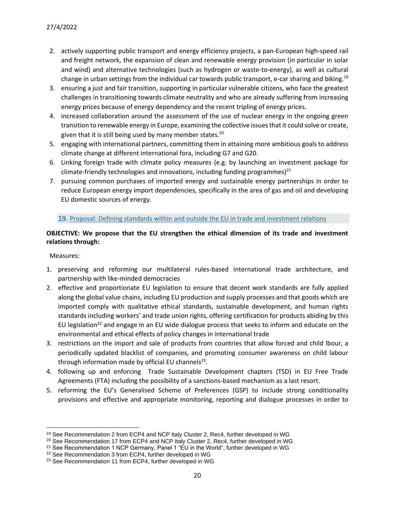- 2. actively supporting public transport and energy efficiency projects, a pan-European high-speed rail and freight network, the expansion of clean and renewable energy provision (in particular in solar and wind) and alternative technologies (such as hydrogen or waste-to-energy), as well as cultural change in urban settings from the individual car towards public transport, e-car sharing and biking.<sup>19</sup>
- 3. ensuring a just and fair transition, supporting in particular vulnerable citizens, who face the greatest challenges in transitioning towards climate neutrality and who are already suffering from increasing energy prices because of energy dependency and the recent tripling of energy prices.
- 4. increased collaboration around the assessment of the use of nuclear energy in the ongoing green transition to renewable energy in Europe, examining the collective issues that it could solve or create, given that it is still being used by many member states.<sup>20</sup>
- 5. engaging with international partners, committing them in attaining more ambitious goals to address climate change at different international fora, including G7 and G20.
- 6. Linking foreign trade with climate policy measures (e.g. by launching an investment package for climate-friendly technologies and innovations, including funding programmes) $^{21}$
- 7. pursuing common purchases of imported energy and sustainable energy partnerships in order to reduce European energy import dependencies, specifically in the area of gas and oil and developing EU domestic sources of energy.

#### 19. Proposal: Defining standards within and outside the EU in trade and investment relations

# **OBJECTIVE: We propose that the EU strengthen the ethical dimension of its trade and investment relations through:**

- 1. preserving and reforming our multilateral rules-based international trade architecture, and partnership with like-minded democracies
- 2. effective and proportionate EU legislation to ensure that decent work standards are fully applied along the global value chains, including EU production and supply processes and that goods which are imported comply with qualitative ethical standards, sustainable development, and human rights standards including workers' and trade union rights, offering certification for products abiding by this EU legislation<sup>22</sup> and engage in an EU wide dialogue process that seeks to inform and educate on the environmental and ethical effects of policy changes in international trade
- 3. restrictions on the import and sale of products from countries that allow forced and child lbour, a periodically updated blacklist of companies, and promoting consumer awareness on child labour through information made by official EU channels<sup>23</sup>.
- 4. following up and enforcing Trade Sustainable Development chapters (TSD) in EU Free Trade Agreements (FTA) including the possibility of a sanctions-based mechanism as a last resort.
- 5. reforming the EU's Generalised Scheme of Preferences (GSP) to include strong conditionality provisions and effective and appropriate monitoring, reporting and dialogue processes in order to

<sup>19</sup> See Recommendation 2 from ECP4 and NCP Italy Cluster 2, Rec4, further developed in WG

<sup>&</sup>lt;sup>20</sup> See Recommendation 17 from ECP4 and NCP Italy Cluster 2, Rec4, further developed in WG

<sup>&</sup>lt;sup>21</sup> See Recommendation 1 NCP Germany, Panel 1 "EU in the World", further developed in WG

<sup>22</sup> See Recommendation 3 from ECP4, further developed in WG

<sup>&</sup>lt;sup>23</sup> See Recommendation 11 from ECP4, further developed in WG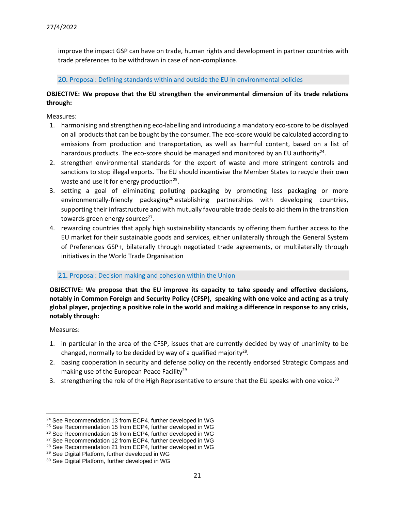improve the impact GSP can have on trade, human rights and development in partner countries with trade preferences to be withdrawn in case of non-compliance.

20. Proposal: Defining standards within and outside the EU in environmental policies

# **OBJECTIVE: We propose that the EU strengthen the environmental dimension of its trade relations through:**

Measures:

- 1. harmonising and strengthening eco-labelling and introducing a mandatory eco-score to be displayed on all products that can be bought by the consumer. The eco-score would be calculated according to emissions from production and transportation, as well as harmful content, based on a list of hazardous products. The eco-score should be managed and monitored by an EU authority<sup>24</sup>.
- 2. strengthen environmental standards for the export of waste and more stringent controls and sanctions to stop illegal exports. The EU should incentivise the Member States to recycle their own waste and use it for energy production<sup>25</sup>.
- 3. setting a goal of eliminating polluting packaging by promoting less packaging or more environmentally-friendly packaging<sup>26</sup>.establishing partnerships with developing countries, supporting their infrastructure and with mutually favourable trade deals to aid them in the transition towards green energy sources<sup>27</sup>.
- 4. rewarding countries that apply high sustainability standards by offering them further access to the EU market for their sustainable goods and services, either unilaterally through the General System of Preferences GSP+, bilaterally through negotiated trade agreements, or multilaterally through initiatives in the World Trade Organisation

#### 21. Proposal: Decision making and cohesion within the Union

**OBJECTIVE: We propose that the EU improve its capacity to take speedy and effective decisions, notably in Common Foreign and Security Policy (CFSP), speaking with one voice and acting as a truly global player, projecting a positive role in the world and making a difference in response to any crisis, notably through:**

- 1. in particular in the area of the CFSP, issues that are currently decided by way of unanimity to be changed, normally to be decided by way of a qualified majority<sup>28</sup>.
- 2. basing cooperation in security and defense policy on the recently endorsed Strategic Compass and making use of the European Peace Facility<sup>29</sup>
- 3. strengthening the role of the High Representative to ensure that the EU speaks with one voice.<sup>30</sup>

<sup>24</sup> See Recommendation 13 from ECP4, further developed in WG

<sup>25</sup> See Recommendation 15 from ECP4, further developed in WG

<sup>26</sup> See Recommendation 16 from ECP4, further developed in WG

<sup>&</sup>lt;sup>27</sup> See Recommendation 12 from ECP4, further developed in WG

<sup>28</sup> See Recommendation 21 from ECP4, further developed in WG

<sup>29</sup> See Digital Platform, further developed in WG

<sup>30</sup> See Digital Platform, further developed in WG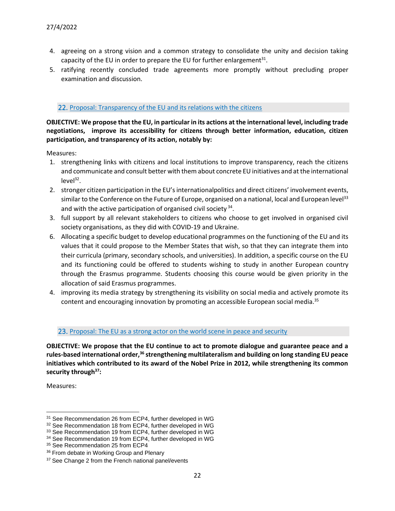- 4. agreeing on a strong vision and a common strategy to consolidate the unity and decision taking capacity of the EU in order to prepare the EU for further enlargement $^{31}$ .
- 5. ratifying recently concluded trade agreements more promptly without precluding proper examination and discussion.

#### 22. Proposal: Transparency of the EU and its relations with the citizens

**OBJECTIVE: We propose that the EU, in particular in its actions at the international level, including trade negotiations, improve its accessibility for citizens through better information, education, citizen participation, and transparency of its action, notably by:**

Measures:

- 1. strengthening links with citizens and local institutions to improve transparency, reach the citizens and communicate and consult better with them about concrete EU initiatives and at the international  $level<sup>32</sup>$ .
- 2. stronger citizen participation in the EU's internationalpolitics and direct citizens' involvement events, similar to the Conference on the Future of Europe, organised on a national, local and European level<sup>33</sup> and with the active participation of organised civil society<sup>34</sup>.
- 3. full support by all relevant stakeholders to citizens who choose to get involved in organised civil society organisations, as they did with COVID-19 and Ukraine.
- 6. Allocating a specific budget to develop educational programmes on the functioning of the EU and its values that it could propose to the Member States that wish, so that they can integrate them into their curricula (primary, secondary schools, and universities). In addition, a specific course on the EU and its functioning could be offered to students wishing to study in another European country through the Erasmus programme. Students choosing this course would be given priority in the allocation of said Erasmus programmes.
- 4. improving its media strategy by strengthening its visibility on social media and actively promote its content and encouraging innovation by promoting an accessible European social media.<sup>35</sup>

#### 23. Proposal: The EU as a strong actor on the world scene in peace and security

**OBJECTIVE: We propose that the EU continue to act to promote dialogue and guarantee peace and a rules-based international order,<sup>36</sup> strengthening multilateralism and building on long standing EU peace initiatives which contributed to its award of the Nobel Prize in 2012, while strengthening its common security through<sup>37</sup>:**

<sup>31</sup> See Recommendation 26 from ECP4, further developed in WG

<sup>32</sup> See Recommendation 18 from ECP4, further developed in WG

<sup>33</sup> See Recommendation 19 from ECP4, further developed in WG

<sup>34</sup> See Recommendation 19 from ECP4, further developed in WG

<sup>&</sup>lt;sup>35</sup> See Recommendation 25 from ECP4

<sup>&</sup>lt;sup>36</sup> From debate in Working Group and Plenary

<sup>&</sup>lt;sup>37</sup> See Change 2 from the French national panel/events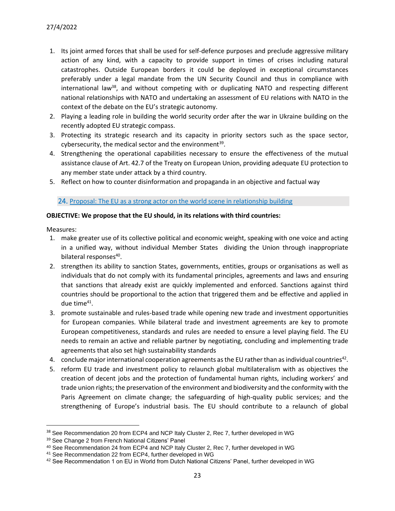- 1. Its joint armed forces that shall be used for self-defence purposes and preclude aggressive military action of any kind, with a capacity to provide support in times of crises including natural catastrophes. Outside European borders it could be deployed in exceptional circumstances preferably under a legal mandate from the UN Security Council and thus in compliance with international law<sup>38</sup>, and without competing with or duplicating NATO and respecting different national relationships with NATO and undertaking an assessment of EU relations with NATO in the context of the debate on the EU's strategic autonomy.
- 2. Playing a leading role in building the world security order after the war in Ukraine building on the recently adopted EU strategic compass.
- 3. Protecting its strategic research and its capacity in priority sectors such as the space sector, cybersecurity, the medical sector and the environment<sup>39</sup>.
- 4. Strengthening the operational capabilities necessary to ensure the effectiveness of the mutual assistance clause of Art. 42.7 of the Treaty on European Union, providing adequate EU protection to any member state under attack by a third country.
- 5. Reflect on how to counter disinformation and propaganda in an objective and factual way

#### 24. Proposal: The EU as a strong actor on the world scene in relationship building

### **OBJECTIVE: We propose that the EU should, in its relations with third countries:**

- 1. make greater use of its collective political and economic weight, speaking with one voice and acting in a unified way, without individual Member States dividing the Union through inappropriate bilateral responses<sup>40</sup>.
- 2. strengthen its ability to sanction States, governments, entities, groups or organisations as well as individuals that do not comply with its fundamental principles, agreements and laws and ensuring that sanctions that already exist are quickly implemented and enforced. Sanctions against third countries should be proportional to the action that triggered them and be effective and applied in due time<sup>41</sup>.
- 3. promote sustainable and rules-based trade while opening new trade and investment opportunities for European companies. While bilateral trade and investment agreements are key to promote European competitiveness, standards and rules are needed to ensure a level playing field. The EU needs to remain an active and reliable partner by negotiating, concluding and implementing trade agreements that also set high sustainability standards
- 4. conclude major international cooperation agreements as the EU rather than as individual countries<sup>42</sup>.
- 5. reform EU trade and investment policy to relaunch global multilateralism with as objectives the creation of decent jobs and the protection of fundamental human rights, including workers' and trade union rights; the preservation of the environment and biodiversity and the conformity with the Paris Agreement on climate change; the safeguarding of high-quality public services; and the strengthening of Europe's industrial basis. The EU should contribute to a relaunch of global

<sup>&</sup>lt;sup>38</sup> See Recommendation 20 from ECP4 and NCP Italy Cluster 2, Rec 7, further developed in WG

<sup>39</sup> See Change 2 from French National Citizens' Panel

<sup>40</sup> See Recommendation 24 from ECP4 and NCP Italy Cluster 2, Rec 7, further developed in WG

<sup>41</sup> See Recommendation 22 from ECP4, further developed in WG

<sup>&</sup>lt;sup>42</sup> See Recommendation 1 on EU in World from Dutch National Citizens' Panel, further developed in WG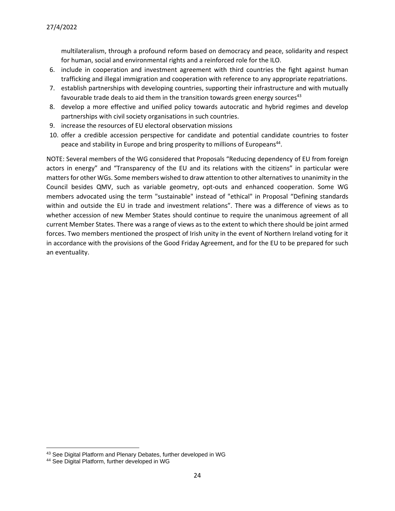multilateralism, through a profound reform based on democracy and peace, solidarity and respect for human, social and environmental rights and a reinforced role for the ILO.

- 6. include in cooperation and investment agreement with third countries the fight against human trafficking and illegal immigration and cooperation with reference to any appropriate repatriations.
- 7. establish partnerships with developing countries, supporting their infrastructure and with mutually favourable trade deals to aid them in the transition towards green energy sources<sup>43</sup>
- 8. develop a more effective and unified policy towards autocratic and hybrid regimes and develop partnerships with civil society organisations in such countries.
- 9. increase the resources of EU electoral observation missions
- 10. offer a credible accession perspective for candidate and potential candidate countries to foster peace and stability in Europe and bring prosperity to millions of Europeans<sup>44</sup>.

NOTE: Several members of the WG considered that Proposals "Reducing dependency of EU from foreign actors in energy" and "Transparency of the EU and its relations with the citizens" in particular were matters for other WGs. Some members wished to draw attention to other alternatives to unanimity in the Council besides QMV, such as variable geometry, opt-outs and enhanced cooperation. Some WG members advocated using the term "sustainable" instead of "ethical" in Proposal "Defining standards within and outside the EU in trade and investment relations". There was a difference of views as to whether accession of new Member States should continue to require the unanimous agreement of all current Member States. There was a range of views as to the extent to which there should be joint armed forces. Two members mentioned the prospect of Irish unity in the event of Northern Ireland voting for it in accordance with the provisions of the Good Friday Agreement, and for the EU to be prepared for such an eventuality.

<sup>43</sup> See Digital Platform and Plenary Debates, further developed in WG

<sup>44</sup> See Digital Platform, further developed in WG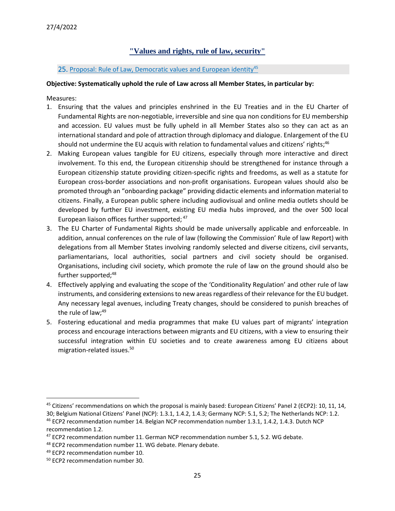# **"Values and rights, rule of law, security"**

### <span id="page-24-0"></span>25. Proposal: Rule of Law, Democratic values and European identity<sup>45</sup>

### **Objective: Systematically uphold the rule of Law across all Member States, in particular by:**

- 1. Ensuring that the values and principles enshrined in the EU Treaties and in the EU Charter of Fundamental Rights are non-negotiable, irreversible and sine qua non conditions for EU membership and accession. EU values must be fully upheld in all Member States also so they can act as an international standard and pole of attraction through diplomacy and dialogue. Enlargement of the EU should not undermine the EU acquis with relation to fundamental values and citizens' rights;<sup>46</sup>
- 2. Making European values tangible for EU citizens, especially through more interactive and direct involvement. To this end, the European citizenship should be strengthened for instance through a European citizenship statute providing citizen-specific rights and freedoms, as well as a statute for European cross-border associations and non-profit organisations. European values should also be promoted through an "onboarding package" providing didactic elements and information material to citizens. Finally, a European public sphere including audiovisual and online media outlets should be developed by further EU investment, existing EU media hubs improved, and the over 500 local European liaison offices further supported;  $47$
- 3. The EU Charter of Fundamental Rights should be made universally applicable and enforceable. In addition, annual conferences on the rule of law (following the Commission' Rule of law Report) with delegations from all Member States involving randomly selected and diverse citizens, civil servants, parliamentarians, local authorities, social partners and civil society should be organised. Organisations, including civil society, which promote the rule of law on the ground should also be further supported;<sup>48</sup>
- 4. Effectively applying and evaluating the scope of the 'Conditionality Regulation' and other rule of law instruments, and considering extensions to new areas regardless of their relevance for the EU budget. Any necessary legal avenues, including Treaty changes, should be considered to punish breaches of the rule of law; 49
- 5. Fostering educational and media programmes that make EU values part of migrants' integration process and encourage interactions between migrants and EU citizens, with a view to ensuring their successful integration within EU societies and to create awareness among EU citizens about migration-related issues. 50

 $45$  Citizens' recommendations on which the proposal is mainly based: European Citizens' Panel 2 (ECP2): 10, 11, 14, 30; Belgium National Citizens' Panel (NCP): 1.3.1, 1.4.2, 1.4.3; Germany NCP: 5.1, 5.2; The Netherlands NCP: 1.2.

<sup>46</sup> ECP2 recommendation number 14. Belgian NCP recommendation number 1.3.1, 1.4.2, 1.4.3. Dutch NCP recommendation 1.2.

<sup>&</sup>lt;sup>47</sup> ECP2 recommendation number 11. German NCP recommendation number 5.1, 5.2. WG debate.

<sup>48</sup> ECP2 recommendation number 11. WG debate. Plenary debate.

<sup>&</sup>lt;sup>49</sup> ECP2 recommendation number 10.

<sup>50</sup> ECP2 recommendation number 30.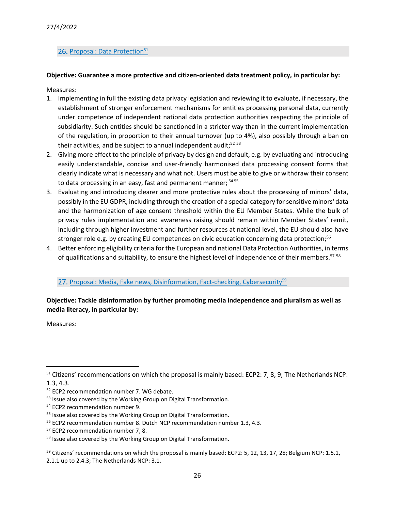### 26. Proposal: Data Protection<sup>51</sup>

### **Objective: Guarantee a more protective and citizen-oriented data treatment policy, in particular by:**

Measures:

- 1. Implementing in full the existing data privacy legislation and reviewing it to evaluate, if necessary, the establishment of stronger enforcement mechanisms for entities processing personal data, currently under competence of independent national data protection authorities respecting the principle of subsidiarity. Such entities should be sanctioned in a stricter way than in the current implementation of the regulation, in proportion to their annual turnover (up to 4%), also possibly through a ban on their activities, and be subject to annual independent audit;<sup>52 53</sup>
- 2. Giving more effect to the principle of privacy by design and default, e.g. by evaluating and introducing easily understandable, concise and user-friendly harmonised data processing consent forms that clearly indicate what is necessary and what not. Users must be able to give or withdraw their consent to data processing in an easy, fast and permanent manner; <sup>54 55</sup>
- 3. Evaluating and introducing clearer and more protective rules about the processing of minors' data, possibly in the EU GDPR, including through the creation of a special category for sensitive minors' data and the harmonization of age consent threshold within the EU Member States. While the bulk of privacy rules implementation and awareness raising should remain within Member States' remit, including through higher investment and further resources at national level, the EU should also have stronger role e.g. by creating EU competences on civic education concerning data protection;<sup>56</sup>
- 4. Better enforcing eligibility criteria for the European and national Data Protection Authorities, in terms of qualifications and suitability, to ensure the highest level of independence of their members.<sup>57 58</sup>

#### 27. Proposal: Media, Fake news, Disinformation, Fact-checking, Cybersecurity<sup>59</sup>

### **Objective: Tackle disinformation by further promoting media independence and pluralism as well as media literacy, in particular by:**

<sup>&</sup>lt;sup>51</sup> Citizens' recommendations on which the proposal is mainly based: ECP2: 7, 8, 9; The Netherlands NCP: 1.3, 4.3.

<sup>52</sup> ECP2 recommendation number 7. WG debate.

<sup>53</sup> Issue also covered by the Working Group on Digital Transformation.

<sup>54</sup> ECP2 recommendation number 9.

<sup>55</sup> Issue also covered by the Working Group on Digital Transformation.

<sup>56</sup> ECP2 recommendation number 8. Dutch NCP recommendation number 1.3, 4.3.

<sup>57</sup> ECP2 recommendation number 7, 8.

<sup>58</sup> Issue also covered by the Working Group on Digital Transformation.

<sup>&</sup>lt;sup>59</sup> Citizens' recommendations on which the proposal is mainly based: ECP2: 5, 12, 13, 17, 28; Belgium NCP: 1.5.1, 2.1.1 up to 2.4.3; The Netherlands NCP: 3.1.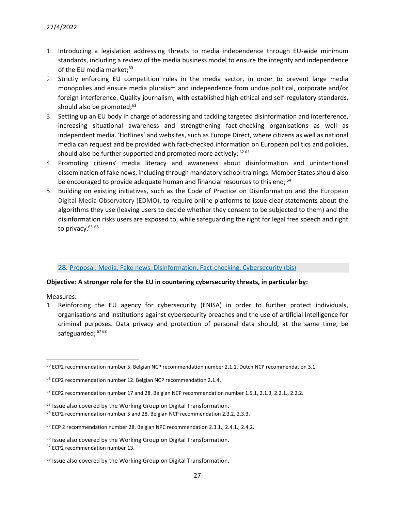- 1. Introducing a legislation addressing threats to media independence through EU-wide minimum standards, including a review of the media business model to ensure the integrity and independence of the EU media market; 60
- 2. Strictly enforcing EU competition rules in the media sector, in order to prevent large media monopolies and ensure media pluralism and independence from undue political, corporate and/or foreign interference. Quality journalism, with established high ethical and self-regulatory standards, should also be promoted; 61
- 3. Setting up an EU body in charge of addressing and tackling targeted disinformation and interference, increasing situational awareness and strengthening fact-checking organisations as well as independent media. 'Hotlines' and websites, such as Europe Direct, where citizens as well as national media can request and be provided with fact-checked information on European politics and policies, should also be further supported and promoted more actively; <sup>62 63</sup>
- 4. Promoting citizens' media literacy and awareness about disinformation and unintentional dissemination of fake news, including through mandatory school trainings. Member States should also be encouraged to provide adequate human and financial resources to this end; <sup>64</sup>
- 5. Building on existing initiatives, such as the Code of Practice on Disinformation and the European Digital Media Observatory (EDMO), to require online platforms to issue clear statements about the algorithms they use (leaving users to decide whether they consent to be subjected to them) and the disinformation risks users are exposed to, while safeguarding the right for legal free speech and right to privacy.<sup>65 66</sup>

#### 28. Proposal: Media, Fake news, Disinformation, Fact-checking, Cybersecurity (bis)

#### **Objective: A stronger role for the EU in countering cybersecurity threats, in particular by:**

Measures:

1. Reinforcing the EU agency for cybersecurity (ENISA) in order to further protect individuals, organisations and institutions against cybersecurity breaches and the use of artificial intelligence for criminal purposes. Data privacy and protection of personal data should, at the same time, be safeguarded; <sup>67 68</sup>

 $60$  ECP2 recommendation number 5. Belgian NCP recommendation number 2.1.1. Dutch NCP recommendation 3.1.

 $61$  ECP2 recommendation number 12. Belgian NCP recommendation 2.1.4.

 $62$  ECP2 recommendation number 17 and 28. Belgian NCP recommendation number 1.5.1, 2.1.3, 2.2.1., 2.2.2.

 $63$  Issue also covered by the Working Group on Digital Transformation.

<sup>&</sup>lt;sup>64</sup> ECP2 recommendation number 5 and 28. Belgian NCP recommendation 2.3.2, 2.3.3.

<sup>65</sup> ECP 2 recommendation number 28. Belgian NPC recommendation 2.3.1., 2.4.1., 2.4.2.

<sup>&</sup>lt;sup>66</sup> Issue also covered by the Working Group on Digital Transformation.

<sup>67</sup> ECP2 recommendation number 13.

<sup>&</sup>lt;sup>68</sup> Issue also covered by the Working Group on Digital Transformation.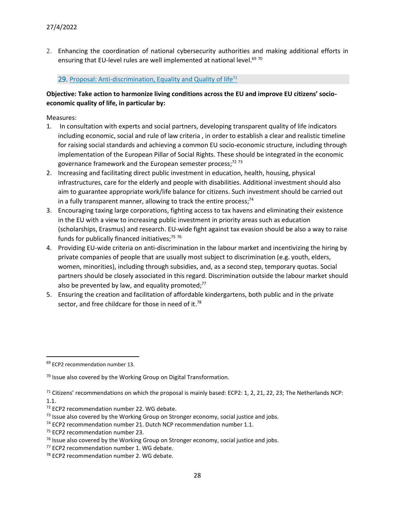2. Enhancing the coordination of national cybersecurity authorities and making additional efforts in ensuring that EU-level rules are well implemented at national level.<sup>69 70</sup>

### 29. Proposal: Anti-discrimination, Equality and Quality of  $l$ ife<sup>71</sup>

# **Objective: Take action to harmonize living conditions across the EU and improve EU citizens' socioeconomic quality of life, in particular by:**

- 1. In consultation with experts and social partners, developing transparent quality of life indicators including economic, social and rule of law criteria , in order to establish a clear and realistic timeline for raising social standards and achieving a common EU socio-economic structure, including through implementation of the European Pillar of Social Rights. These should be integrated in the economic governance framework and the European semester process;<sup>72 73</sup>
- 2. Increasing and facilitating direct public investment in education, health, housing, physical infrastructures, care for the elderly and people with disabilities. Additional investment should also aim to guarantee appropriate work/life balance for citizens. Such investment should be carried out in a fully transparent manner, allowing to track the entire process;<sup>74</sup>
- 3. Encouraging taxing large corporations, fighting access to tax havens and eliminating their existence in the EU with a view to increasing public investment in priority areas such as education (scholarships, Erasmus) and research. EU-wide fight against tax evasion should be also a way to raise funds for publically financed initiatives;<sup>75 76</sup>
- 4. Providing EU-wide criteria on anti-discrimination in the labour market and incentivizing the hiring by private companies of people that are usually most subject to discrimination (e.g. youth, elders, women, minorities), including through subsidies, and, as a second step, temporary quotas. Social partners should be closely associated in this regard. Discrimination outside the labour market should also be prevented by law, and equality promoted; $^{77}$
- 5. Ensuring the creation and facilitation of affordable kindergartens, both public and in the private sector, and free childcare for those in need of it.<sup>78</sup>

<sup>69</sup> ECP2 recommendation number 13.

 $70$  Issue also covered by the Working Group on Digital Transformation.

<sup>&</sup>lt;sup>71</sup> Citizens' recommendations on which the proposal is mainly based: ECP2: 1, 2, 21, 22, 23; The Netherlands NCP: 1.1.

<sup>&</sup>lt;sup>72</sup> ECP2 recommendation number 22. WG debate.

 $<sup>73</sup>$  Issue also covered by the Working Group on Stronger economy, social justice and jobs.</sup>

<sup>&</sup>lt;sup>74</sup> ECP2 recommendation number 21. Dutch NCP recommendation number 1.1.

<sup>75</sup> ECP2 recommendation number 23.

 $76$  Issue also covered by the Working Group on Stronger economy, social justice and jobs.

<sup>77</sup> ECP2 recommendation number 1. WG debate.

<sup>&</sup>lt;sup>78</sup> ECP2 recommendation number 2. WG debate.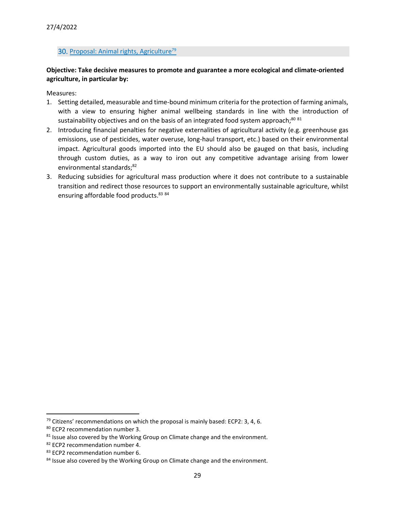# 30. Proposal: Animal rights, Agriculture<sup>79</sup>

# **Objective: Take decisive measures to promote and guarantee a more ecological and climate-oriented agriculture, in particular by:**

- 1. Setting detailed, measurable and time-bound minimum criteria for the protection of farming animals, with a view to ensuring higher animal wellbeing standards in line with the introduction of sustainability objectives and on the basis of an integrated food system approach;<sup>80 81</sup>
- 2. Introducing financial penalties for negative externalities of agricultural activity (e.g. greenhouse gas emissions, use of pesticides, water overuse, long-haul transport, etc.) based on their environmental impact. Agricultural goods imported into the EU should also be gauged on that basis, including through custom duties, as a way to iron out any competitive advantage arising from lower environmental standards;<sup>82</sup>
- 3. Reducing subsidies for agricultural mass production where it does not contribute to a sustainable transition and redirect those resources to support an environmentally sustainable agriculture, whilst ensuring affordable food products.<sup>83 84</sup>

 $79$  Citizens' recommendations on which the proposal is mainly based: ECP2: 3, 4, 6.

<sup>80</sup> ECP2 recommendation number 3.

 $81$  Issue also covered by the Working Group on Climate change and the environment.

<sup>82</sup> ECP2 recommendation number 4.

<sup>83</sup> ECP2 recommendation number 6.

<sup>&</sup>lt;sup>84</sup> Issue also covered by the Working Group on Climate change and the environment.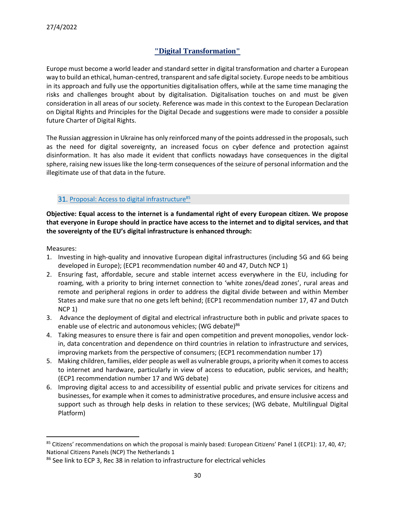# **"Digital Transformation"**

<span id="page-29-0"></span>Europe must become a world leader and standard setter in digital transformation and charter a European way to build an ethical, human-centred, transparent and safe digital society. Europe needs to be ambitious in its approach and fully use the opportunities digitalisation offers, while at the same time managing the risks and challenges brought about by digitalisation. Digitalisation touches on and must be given consideration in all areas of our society. Reference was made in this context to the European Declaration on Digital Rights and Principles for the Digital Decade and suggestions were made to consider a possible future Charter of Digital Rights.

The Russian aggression in Ukraine has only reinforced many of the points addressed in the proposals, such as the need for digital sovereignty, an increased focus on cyber defence and protection against disinformation. It has also made it evident that conflicts nowadays have consequences in the digital sphere, raising new issues like the long-term consequences of the seizure of personal information and the illegitimate use of that data in the future.

# 31. Proposal: Access to digital infrastructure<sup>85</sup>

**Objective: Equal access to the internet is a fundamental right of every European citizen. We propose that everyone in Europe should in practice have access to the internet and to digital services, and that the sovereignty of the EU's digital infrastructure is enhanced through:**

- 1. Investing in high-quality and innovative European digital infrastructures (including 5G and 6G being developed in Europe); (ECP1 recommendation number 40 and 47, Dutch NCP 1)
- 2. Ensuring fast, affordable, secure and stable internet access everywhere in the EU, including for roaming, with a priority to bring internet connection to 'white zones/dead zones', rural areas and remote and peripheral regions in order to address the digital divide between and within Member States and make sure that no one gets left behind; (ECP1 recommendation number 17, 47 and Dutch NCP 1)
- 3. Advance the deployment of digital and electrical infrastructure both in public and private spaces to enable use of electric and autonomous vehicles; (WG debate)<sup>86</sup>
- 4. Taking measures to ensure there is fair and open competition and prevent monopolies, vendor lockin, data concentration and dependence on third countries in relation to infrastructure and services, improving markets from the perspective of consumers; (ECP1 recommendation number 17)
- 5. Making children, families, elder people as well as vulnerable groups, a priority when it comes to access to internet and hardware, particularly in view of access to education, public services, and health; (ECP1 recommendation number 17 and WG debate)
- 6. Improving digital access to and accessibility of essential public and private services for citizens and businesses, for example when it comes to administrative procedures, and ensure inclusive access and support such as through help desks in relation to these services; (WG debate, Multilingual Digital Platform)

<sup>&</sup>lt;sup>85</sup> Citizens' recommendations on which the proposal is mainly based: European Citizens' Panel 1 (ECP1): 17, 40, 47; National Citizens Panels (NCP) The Netherlands 1

<sup>&</sup>lt;sup>86</sup> See link to ECP 3, Rec 38 in relation to infrastructure for electrical vehicles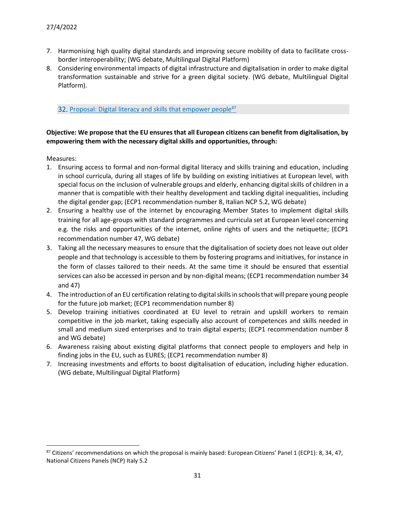- 7. Harmonising high quality digital standards and improving secure mobility of data to facilitate crossborder interoperability; (WG debate, Multilingual Digital Platform)
- 8. Considering environmental impacts of digital infrastructure and digitalisation in order to make digital transformation sustainable and strive for a green digital society. (WG debate, Multilingual Digital Platform).

32. Proposal: Digital literacy and skills that empower people<sup>87</sup>

# **Objective: We propose that the EU ensures that all European citizens can benefit from digitalisation, by empowering them with the necessary digital skills and opportunities, through:**

- 1. Ensuring access to formal and non-formal digital literacy and skills training and education, including in school curricula, during all stages of life by building on existing initiatives at European level, with special focus on the inclusion of vulnerable groups and elderly, enhancing digital skills of children in a manner that is compatible with their healthy development and tackling digital inequalities, including the digital gender gap; (ECP1 recommendation number 8, Italian NCP 5.2, WG debate)
- 2. Ensuring a healthy use of the internet by encouraging Member States to implement digital skills training for all age-groups with standard programmes and curricula set at European level concerning e.g. the risks and opportunities of the internet, online rights of users and the netiquette; (ECP1 recommendation number 47, WG debate)
- 3. Taking all the necessary measures to ensure that the digitalisation of society does not leave out older people and that technology is accessible to them by fostering programs and initiatives, for instance in the form of classes tailored to their needs. At the same time it should be ensured that essential services can also be accessed in person and by non-digital means; (ECP1 recommendation number 34 and 47)
- 4. The introduction of an EU certification relating to digital skills in schools that will prepare young people for the future job market; (ECP1 recommendation number 8)
- 5. Develop training initiatives coordinated at EU level to retrain and upskill workers to remain competitive in the job market, taking especially also account of competences and skills needed in small and medium sized enterprises and to train digital experts; (ECP1 recommendation number 8 and WG debate)
- 6. Awareness raising about existing digital platforms that connect people to employers and help in finding jobs in the EU, such as EURES; (ECP1 recommendation number 8)
- 7. Increasing investments and efforts to boost digitalisation of education, including higher education. (WG debate, Multilingual Digital Platform)

 $87$  Citizens' recommendations on which the proposal is mainly based: European Citizens' Panel 1 (ECP1): 8, 34, 47, National Citizens Panels (NCP) Italy 5.2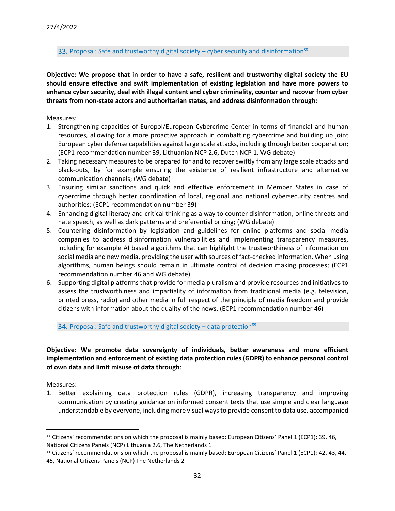### 33. Proposal: Safe and trustworthy digital society – cyber security and disinformation<sup>88</sup>

**Objective: We propose that in order to have a safe, resilient and trustworthy digital society the EU should ensure effective and swift implementation of existing legislation and have more powers to enhance cyber security, deal with illegal content and cyber criminality, counter and recover from cyber threats from non-state actors and authoritarian states, and address disinformation through:**

#### Measures:

- 1. Strengthening capacities of Europol/European Cybercrime Center in terms of financial and human resources, allowing for a more proactive approach in combatting cybercrime and building up joint European cyber defense capabilities against large scale attacks, including through better cooperation; (ECP1 recommendation number 39, Lithuanian NCP 2.6, Dutch NCP 1, WG debate)
- 2. Taking necessary measures to be prepared for and to recover swiftly from any large scale attacks and black-outs, by for example ensuring the existence of resilient infrastructure and alternative communication channels; (WG debate)
- 3. Ensuring similar sanctions and quick and effective enforcement in Member States in case of cybercrime through better coordination of local, regional and national cybersecurity centres and authorities; (ECP1 recommendation number 39)
- 4. Enhancing digital literacy and critical thinking as a way to counter disinformation, online threats and hate speech, as well as dark patterns and preferential pricing; (WG debate)
- 5. Countering disinformation by legislation and guidelines for online platforms and social media companies to address disinformation vulnerabilities and implementing transparency measures, including for example AI based algorithms that can highlight the trustworthiness of information on social media and new media, providing the user with sources of fact-checked information. When using algorithms, human beings should remain in ultimate control of decision making processes; (ECP1 recommendation number 46 and WG debate)
- 6. Supporting digital platforms that provide for media pluralism and provide resources and initiatives to assess the trustworthiness and impartiality of information from traditional media (e.g. television, printed press, radio) and other media in full respect of the principle of media freedom and provide citizens with information about the quality of the news. (ECP1 recommendation number 46)

34. Proposal: Safe and trustworthy digital society – data protection<sup>89</sup>

**Objective: We promote data sovereignty of individuals, better awareness and more efficient implementation and enforcement of existing data protection rules (GDPR) to enhance personal control of own data and limit misuse of data through**:

Measures:

1. Better explaining data protection rules (GDPR), increasing transparency and improving communication by creating guidance on informed consent texts that use simple and clear language understandable by everyone, including more visual ways to provide consent to data use, accompanied

<sup>&</sup>lt;sup>88</sup> Citizens' recommendations on which the proposal is mainly based: European Citizens' Panel 1 (ECP1): 39, 46, National Citizens Panels (NCP) Lithuania 2.6, The Netherlands 1

 $89$  Citizens' recommendations on which the proposal is mainly based: European Citizens' Panel 1 (ECP1): 42, 43, 44, 45, National Citizens Panels (NCP) The Netherlands 2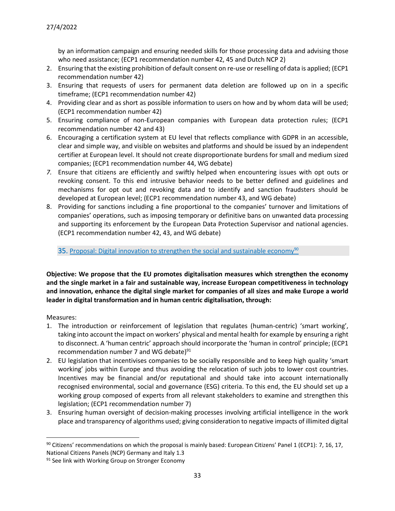by an information campaign and ensuring needed skills for those processing data and advising those who need assistance; (ECP1 recommendation number 42, 45 and Dutch NCP 2)

- 2. Ensuring that the existing prohibition of default consent on re-use or reselling of data is applied; (ECP1 recommendation number 42)
- 3. Ensuring that requests of users for permanent data deletion are followed up on in a specific timeframe; (ECP1 recommendation number 42)
- 4. Providing clear and as short as possible information to users on how and by whom data will be used; (ECP1 recommendation number 42)
- 5. Ensuring compliance of non-European companies with European data protection rules; (ECP1 recommendation number 42 and 43)
- 6. Encouraging a certification system at EU level that reflects compliance with GDPR in an accessible, clear and simple way, and visible on websites and platforms and should be issued by an independent certifier at European level. It should not create disproportionate burdens for small and medium sized companies; (ECP1 recommendation number 44, WG debate)
- *7.* Ensure that citizens are efficiently and swiftly helped when encountering issues with opt outs or revoking consent. To this end intrusive behavior needs to be better defined and guidelines and mechanisms for opt out and revoking data and to identify and sanction fraudsters should be developed at European level; (ECP1 recommendation number 43, and WG debate)
- 8. Providing for sanctions including a fine proportional to the companies' turnover and limitations of companies' operations, such as imposing temporary or definitive bans on unwanted data processing and supporting its enforcement by the European Data Protection Supervisor and national agencies. (ECP1 recommendation number 42, 43, and WG debate)

35. Proposal: Digital innovation to strengthen the social and sustainable economy<sup>90</sup>

**Objective: We propose that the EU promotes digitalisation measures which strengthen the economy and the single market in a fair and sustainable way, increase European competitiveness in technology and innovation, enhance the digital single market for companies of all sizes and make Europe a world leader in digital transformation and in human centric digitalisation, through:**

- 1. The introduction or reinforcement of legislation that regulates (human-centric) 'smart working', taking into account the impact on workers' physical and mental health for example by ensuring a right to disconnect. A 'human centric' approach should incorporate the 'human in control' principle; (ECP1 recommendation number 7 and WG debate)<sup>91</sup>
- 2. EU legislation that incentivises companies to be socially responsible and to keep high quality 'smart working' jobs within Europe and thus avoiding the relocation of such jobs to lower cost countries. Incentives may be financial and/or reputational and should take into account internationally recognised environmental, social and governance (ESG) criteria. To this end, the EU should set up a working group composed of experts from all relevant stakeholders to examine and strengthen this legislation; (ECP1 recommendation number 7)
- 3. Ensuring human oversight of decision-making processes involving artificial intelligence in the work place and transparency of algorithms used; giving consideration to negative impacts of illimited digital

<sup>90</sup> Citizens' recommendations on which the proposal is mainly based: European Citizens' Panel 1 (ECP1): 7, 16, 17, National Citizens Panels (NCP) Germany and Italy 1.3

<sup>&</sup>lt;sup>91</sup> See link with Working Group on Stronger Economy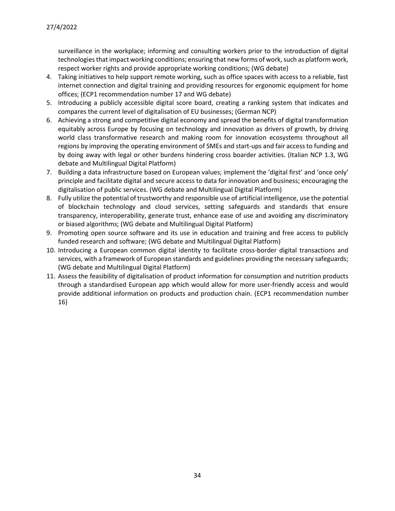surveillance in the workplace; informing and consulting workers prior to the introduction of digital technologies that impact working conditions; ensuring that new forms of work, such as platform work, respect worker rights and provide appropriate working conditions; (WG debate)

- 4. Taking initiatives to help support remote working, such as office spaces with access to a reliable, fast internet connection and digital training and providing resources for ergonomic equipment for home offices; (ECP1 recommendation number 17 and WG debate)
- 5. Introducing a publicly accessible digital score board, creating a ranking system that indicates and compares the current level of digitalisation of EU businesses; (German NCP)
- 6. Achieving a strong and competitive digital economy and spread the benefits of digital transformation equitably across Europe by focusing on technology and innovation as drivers of growth, by driving world class transformative research and making room for innovation ecosystems throughout all regions by improving the operating environment of SMEs and start-ups and fair access to funding and by doing away with legal or other burdens hindering cross boarder activities. (Italian NCP 1.3, WG debate and Multilingual Digital Platform)
- 7. Building a data infrastructure based on European values; implement the 'digital first' and 'once only' principle and facilitate digital and secure access to data for innovation and business; encouraging the digitalisation of public services. (WG debate and Multilingual Digital Platform)
- 8. Fully utilize the potential of trustworthy and responsible use of artificial intelligence, use the potential of blockchain technology and cloud services, setting safeguards and standards that ensure transparency, interoperability, generate trust, enhance ease of use and avoiding any discriminatory or biased algorithms; (WG debate and Multilingual Digital Platform)
- 9. Promoting open source software and its use in education and training and free access to publicly funded research and software; (WG debate and Multilingual Digital Platform)
- 10. Introducing a European common digital identity to facilitate cross-border digital transactions and services, with a framework of European standards and guidelines providing the necessary safeguards; (WG debate and Multilingual Digital Platform)
- 11. Assess the feasibility of digitalisation of product information for consumption and nutrition products through a standardised European app which would allow for more user-friendly access and would provide additional information on products and production chain. (ECP1 recommendation number 16)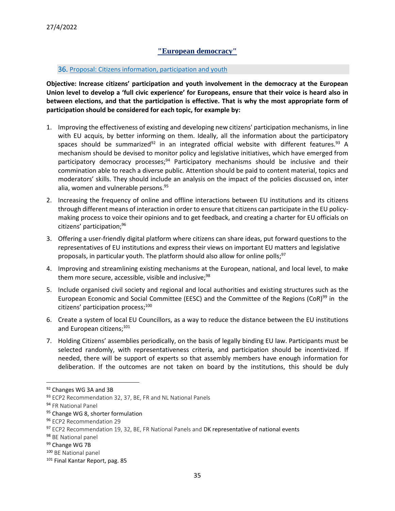# **"European democracy"**

#### <span id="page-34-0"></span>36. Proposal: Citizens information, participation and youth

**Objective: Increase citizens' participation and youth involvement in the democracy at the European Union level to develop a 'full civic experience' for Europeans, ensure that their voice is heard also in between elections, and that the participation is effective. That is why the most appropriate form of participation should be considered for each topic, for example by:**

- 1. Improving the effectiveness of existing and developing new citizens' participation mechanisms, in line with EU acquis, by better informing on them. Ideally, all the information about the participatory spaces should be summarized<sup>92</sup> in an integrated official website with different features.<sup>93</sup> A mechanism should be devised to monitor policy and legislative initiatives, which have emerged from participatory democracy processes; $94$  Participatory mechanisms should be inclusive and their commination able to reach a diverse public. Attention should be paid to content material, topics and moderators' skills. They should include an analysis on the impact of the policies discussed on, inter alia, women and vulnerable persons.<sup>95</sup>
- 2. Increasing the frequency of online and offline interactions between EU institutions and its citizens through different means of interaction in order to ensure that citizens can participate in the EU policymaking process to voice their opinions and to get feedback, and creating a charter for EU officials on citizens' participation;<sup>96</sup>
- 3. Offering a user-friendly digital platform where citizens can share ideas, put forward questions to the representatives of EU institutions and express their views on important EU matters and legislative proposals, in particular youth. The platform should also allow for online polls;<sup>97</sup>
- 4. Improving and streamlining existing mechanisms at the European, national, and local level, to make them more secure, accessible, visible and inclusive; $98$
- 5. Include organised civil society and regional and local authorities and existing structures such as the European Economic and Social Committee (EESC) and the Committee of the Regions (CoR)<sup>99</sup> in the citizens' participation process;<sup>100</sup>
- 6. Create a system of local EU Councillors, as a way to reduce the distance between the EU institutions and European citizens;<sup>101</sup>
- 7. Holding Citizens' assemblies periodically, on the basis of legally binding EU law. Participants must be selected randomly, with representativeness criteria, and participation should be incentivized. If needed, there will be support of experts so that assembly members have enough information for deliberation. If the outcomes are not taken on board by the institutions, this should be duly

<sup>92</sup> Changes WG 3A and 3B

<sup>93</sup> ECP2 Recommendation 32, 37, BE, FR and NL National Panels

<sup>94</sup> FR National Panel

<sup>95</sup> Change WG 8, shorter formulation

<sup>96</sup> ECP2 Recommendation 29

<sup>97</sup> ECP2 Recommendation 19, 32, BE, FR National Panels and DK representative of national events

<sup>98</sup> BE National panel

<sup>99</sup> Change WG 7B

<sup>100</sup> BE National panel

<sup>101</sup> Final Kantar Report, pag. 85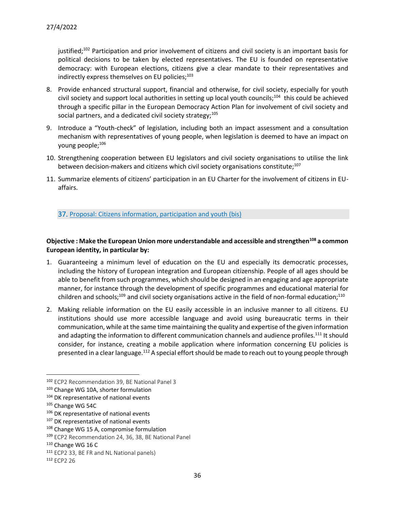iustified;<sup>102</sup> Participation and prior involvement of citizens and civil society is an important basis for political decisions to be taken by elected representatives. The EU is founded on representative democracy: with European elections, citizens give a clear mandate to their representatives and indirectly express themselves on EU policies; $103$ 

- 8. Provide enhanced structural support, financial and otherwise, for civil society, especially for youth civil society and support local authorities in setting up local youth councils;<sup>104</sup> this could be achieved through a specific pillar in the European Democracy Action Plan for involvement of civil society and social partners, and a dedicated civil society strategy; $105$
- 9. Introduce a "Youth-check" of legislation, including both an impact assessment and a consultation mechanism with representatives of young people, when legislation is deemed to have an impact on young people;<sup>106</sup>
- 10. Strengthening cooperation between EU legislators and civil society organisations to utilise the link between decision-makers and citizens which civil society organisations constitute;<sup>107</sup>
- 11. Summarize elements of citizens' participation in an EU Charter for the involvement of citizens in EUaffairs.

37. Proposal: Citizens information, participation and youth (bis)

# **Objective : Make the European Union more understandable and accessible and strengthen<sup>108</sup> a common European identity, in particular by:**

- 1. Guaranteeing a minimum level of education on the EU and especially its democratic processes, including the history of European integration and European citizenship. People of all ages should be able to benefit from such programmes, which should be designed in an engaging and age appropriate manner, for instance through the development of specific programmes and educational material for children and schools;<sup>109</sup> and civil society organisations active in the field of non-formal education;<sup>110</sup>
- 2. Making reliable information on the EU easily accessible in an inclusive manner to all citizens. EU institutions should use more accessible language and avoid using bureaucratic terms in their communication, while at the same time maintaining the quality and expertise of the given information and adapting the information to different communication channels and audience profiles.<sup>111</sup> It should consider, for instance, creating a mobile application where information concerning EU policies is presented in a clear language.<sup>112</sup> A special effort should be made to reach out to young people through

<sup>102</sup> ECP2 Recommendation 39, BE National Panel 3

<sup>103</sup> Change WG 10A, shorter formulation

<sup>&</sup>lt;sup>104</sup> DK representative of national events

<sup>105</sup> Change WG 54C

<sup>106</sup> DK representative of national events

<sup>&</sup>lt;sup>107</sup> DK representative of national events

<sup>108</sup> Change WG 15 A, compromise formulation

<sup>109</sup> ECP2 Recommendation 24, 36, 38, BE National Panel

<sup>110</sup> Change WG 16 C

<sup>&</sup>lt;sup>111</sup> ECP2 33, BE FR and NL National panels)

<sup>112</sup> ECP2 26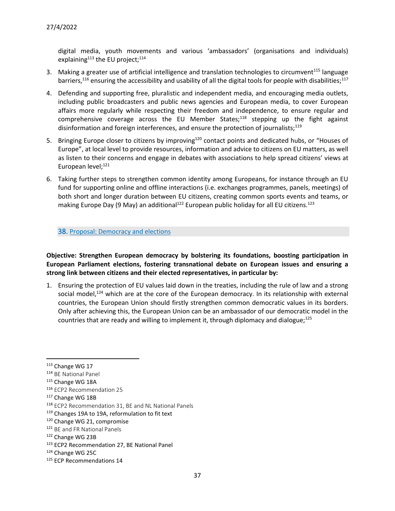digital media, youth movements and various 'ambassadors' (organisations and individuals) explaining<sup>113</sup> the EU project;<sup>114</sup>

- 3. Making a greater use of artificial intelligence and translation technologies to circumvent<sup>115</sup> language barriers,<sup>116</sup> ensuring the accessibility and usability of all the digital tools for people with disabilities;<sup>117</sup>
- 4. Defending and supporting free, pluralistic and independent media, and encouraging media outlets, including public broadcasters and public news agencies and European media, to cover European affairs more regularly while respecting their freedom and independence, to ensure regular and comprehensive coverage across the EU Member States;<sup>118</sup> stepping up the fight against disinformation and foreign interferences, and ensure the protection of journalists;<sup>119</sup>
- 5. Bringing Europe closer to citizens by improving<sup>120</sup> contact points and dedicated hubs, or "Houses of Europe", at local level to provide resources, information and advice to citizens on EU matters, as well as listen to their concerns and engage in debates with associations to help spread citizens' views at European level;<sup>121</sup>
- 6. Taking further steps to strengthen common identity among Europeans, for instance through an EU fund for supporting online and offline interactions (i.e. exchanges programmes, panels, meetings) of both short and longer duration between EU citizens, creating common sports events and teams, or making Europe Day (9 May) an additional<sup>122</sup> European public holiday for all EU citizens.<sup>123</sup>

#### 38. Proposal: Democracy and elections

**Objective: Strengthen European democracy by bolstering its foundations, boosting participation in European Parliament elections, fostering transnational debate on European issues and ensuring a strong link between citizens and their elected representatives, in particular by:**

1. Ensuring the protection of EU values laid down in the treaties, including the rule of law and a strong social model, $124$  which are at the core of the European democracy. In its relationship with external countries, the European Union should firstly strengthen common democratic values in its borders. Only after achieving this, the European Union can be an ambassador of our democratic model in the countries that are ready and willing to implement it, through diplomacy and dialogue;<sup>125</sup>

125 ECP Recommendations 14

<sup>&</sup>lt;sup>113</sup> Change WG 17

<sup>114</sup> BE National Panel

<sup>115</sup> Change WG 18A

<sup>116</sup> ECP2 Recommendation 25

<sup>117</sup> Change WG 18B

<sup>118</sup> ECP2 Recommendation 31, BE and NL National Panels

<sup>119</sup> Changes 19A to 19A, reformulation to fit text

<sup>120</sup> Change WG 21, compromise

<sup>121</sup> BE and FR National Panels

<sup>122</sup> Change WG 23B

<sup>123</sup> ECP2 Recommendation 27, BE National Panel

<sup>124</sup> Change WG 25C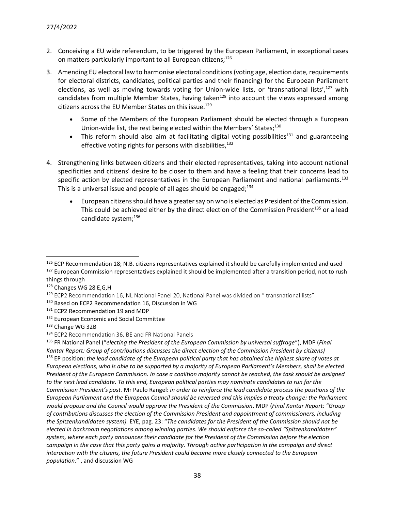- 2. Conceiving a EU wide referendum, to be triggered by the European Parliament, in exceptional cases on matters particularly important to all European citizens;<sup>126</sup>
- 3. Amending EU electoral law to harmonise electoral conditions (voting age, election date, requirements for electoral districts, candidates, political parties and their financing) for the European Parliament elections, as well as moving towards voting for Union-wide lists, or 'transnational lists',<sup>127</sup> with candidates from multiple Member States, having taken<sup>128</sup> into account the views expressed among citizens across the EU Member States on this issue.<sup>129</sup>
	- Some of the Members of the European Parliament should be elected through a European Union-wide list, the rest being elected within the Members' States;<sup>130</sup>
	- This reform should also aim at facilitating digital voting possibilities<sup>131</sup> and guaranteeing effective voting rights for persons with disabilities,  $132$
- 4. Strengthening links between citizens and their elected representatives, taking into account national specificities and citizens' desire to be closer to them and have a feeling that their concerns lead to specific action by elected representatives in the European Parliament and national parliaments.<sup>133</sup> This is a universal issue and people of all ages should be engaged; $^{134}$ 
	- European citizens should have a greater say on who is elected as President of the Commission. This could be achieved either by the direct election of the Commission President $135$  or a lead candidate system;<sup>136</sup>

<sup>126</sup> ECP Recommendation 18; N.B. citizens representatives explained it should be carefully implemented and used

<sup>&</sup>lt;sup>127</sup> European Commission representatives explained it should be implemented after a transition period, not to rush things through

<sup>128</sup> Changes WG 28 E,G,H

<sup>&</sup>lt;sup>129</sup> ECP2 Recommendation 16, NL National Panel 20, National Panel was divided on " transnational lists"

<sup>130</sup> Based on ECP2 Recommendation 16, Discussion in WG

<sup>&</sup>lt;sup>131</sup> ECP2 Recommendation 19 and MDP

<sup>132</sup> European Economic and Social Committee

<sup>133</sup> Change WG 32B

<sup>134</sup> ECP2 Recommendation 36, BE and FR National Panels

<sup>135</sup> FR National Panel ("*electing the President of the European Commission by universal suffrage*"), MDP (*Final Kantar Report: Group of contributions discusses the direct election of the Commission President by citizens)* <sup>136</sup> EP position: *the lead candidate of the European political party that has obtained the highest share of votes at European elections, who is able to be supported by a majority of European Parliament's Members, shall be elected President of the European Commission. In case a coalition majority cannot be reached, the task should be assigned to the next lead candidate. To this end, European political parties may nominate candidates to run for the Commission President's post.* Mr Paulo Rangel: *in order to reinforce the lead candidate process the positions of the European Parliament and the European Council should be reversed and this implies a treaty change: the Parliament would propose and the Council would approve the President of the Commission*. MDP (*Final Kantar Report: "Group of contributions discusses the election of the Commission President and appointment of commissioners, including the Spitzenkandidaten system).* EYE, pag. 23: "*The candidates for the President of the Commission should not be elected in backroom negotiations among winning parties. We should enforce the so-called "Spitzenkandidaten" system, where each party announces their candidate for the President of the Commission before the election campaign in the case that this party gains a majority. Through active participation in the campaign and direct interaction with the citizens, the future President could become more closely connected to the European population*." , and discussion WG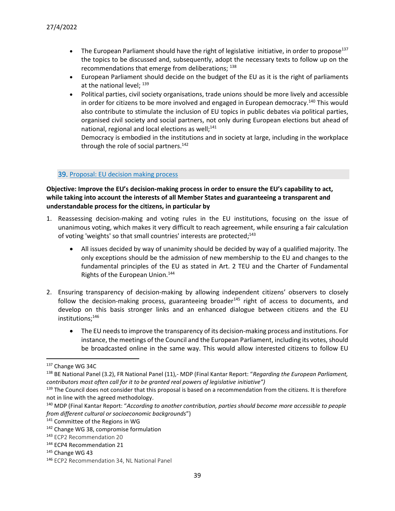- The European Parliament should have the right of legislative initiative, in order to propose<sup>137</sup> the topics to be discussed and, subsequently, adopt the necessary texts to follow up on the recommendations that emerge from deliberations; 138
- European Parliament should decide on the budget of the EU as it is the right of parliaments at the national level;  $^{139}$
- Political parties, civil society organisations, trade unions should be more lively and accessible in order for citizens to be more involved and engaged in European democracy.<sup>140</sup> This would also contribute to stimulate the inclusion of EU topics in public debates via political parties, organised civil society and social partners, not only during European elections but ahead of national, regional and local elections as well; $^{141}$

Democracy is embodied in the institutions and in society at large, including in the workplace through the role of social partners.<sup>142</sup>

#### 39. Proposal: EU decision making process

# **Objective: Improve the EU's decision-making process in order to ensure the EU's capability to act, while taking into account the interests of all Member States and guaranteeing a transparent and understandable process for the citizens, in particular by**

- 1. Reassessing decision-making and voting rules in the EU institutions, focusing on the issue of unanimous voting, which makes it very difficult to reach agreement, while ensuring a fair calculation of voting 'weights' so that small countries' interests are protected;<sup>143</sup>
	- All issues decided by way of unanimity should be decided by way of a qualified majority. The only exceptions should be the admission of new membership to the EU and changes to the fundamental principles of the EU as stated in Art. 2 TEU and the Charter of Fundamental Rights of the European Union.<sup>144</sup>
- 2. Ensuring transparency of decision-making by allowing independent citizens' observers to closely follow the decision-making process, guaranteeing broader<sup>145</sup> right of access to documents, and develop on this basis stronger links and an enhanced dialogue between citizens and the EU institutions;<sup>146</sup>
	- The EU needs to improve the transparency of its decision-making process and institutions. For instance, the meetings of the Council and the European Parliament, including its votes, should be broadcasted online in the same way. This would allow interested citizens to follow EU

<sup>137</sup> Change WG 34C

<sup>138</sup> BE National Panel (3.2), FR National Panel (11),- MDP (Final Kantar Report: "*Regarding the European Parliament, contributors most often call for it to be granted real powers of legislative initiative")*

<sup>139</sup> The Council does not consider that this proposal is based on a recommendation from the citizens. It is therefore not in line with the agreed methodology.

<sup>140</sup> MDP (Final Kantar Report: "*According to another contribution, parties should become more accessible to people from different cultural or socioeconomic backgrounds*")

<sup>141</sup> Committee of the Regions in WG

<sup>142</sup> Change WG 38, compromise formulation

<sup>143</sup> ECP2 Recommendation 20

<sup>144</sup> ECP4 Recommendation 21

 $145$  Change WG 43

<sup>146</sup> ECP2 Recommendation 34, NL National Panel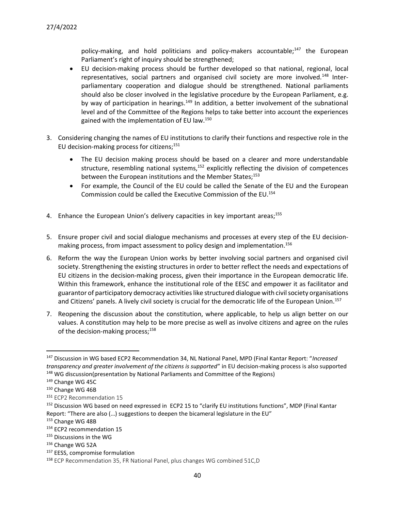policy-making, and hold politicians and policy-makers accountable;<sup>147</sup> the European Parliament's right of inquiry should be strengthened;

- EU decision-making process should be further developed so that national, regional, local representatives, social partners and organised civil society are more involved.<sup>148</sup> Interparliamentary cooperation and dialogue should be strengthened. National parliaments should also be closer involved in the legislative procedure by the European Parliament, e.g. by way of participation in hearings.<sup>149</sup> In addition, a better involvement of the subnational level and of the Committee of the Regions helps to take better into account the experiences gained with the implementation of EU law.<sup>150</sup>
- 3. Considering changing the names of EU institutions to clarify their functions and respective role in the EU decision-making process for citizens;<sup>151</sup>
	- The EU decision making process should be based on a clearer and more understandable structure, resembling national systems,<sup>152</sup> explicitly reflecting the division of competences between the European institutions and the Member States;<sup>153</sup>
	- For example, the Council of the EU could be called the Senate of the EU and the European Commission could be called the Executive Commission of the EU.<sup>154</sup>
- 4. Enhance the European Union's delivery capacities in key important areas;<sup>155</sup>
- 5. Ensure proper civil and social dialogue mechanisms and processes at every step of the EU decisionmaking process, from impact assessment to policy design and implementation.<sup>156</sup>
- 6. Reform the way the European Union works by better involving social partners and organised civil society. Strengthening the existing structures in order to better reflect the needs and expectations of EU citizens in the decision-making process, given their importance in the European democratic life. Within this framework, enhance the institutional role of the EESC and empower it as facilitator and guarantor of participatory democracy activities like structured dialogue with civil society organisations and Citizens' panels. A lively civil society is crucial for the democratic life of the European Union.<sup>157</sup>
- 7. Reopening the discussion about the constitution, where applicable, to help us align better on our values. A constitution may help to be more precise as well as involve citizens and agree on the rules of the decision-making process;<sup>158</sup>

<sup>147</sup> Discussion in WG based ECP2 Recommendation 34, NL National Panel, MPD (Final Kantar Report: "*Increased transparency and greater involvement of the citizens is supported*" in EU decision-making process is also supported 148 WG discussion(presentation by National Parliaments and Committee of the Regions)

<sup>149</sup> Change WG 45C

<sup>&</sup>lt;sup>150</sup> Change WG 46B

<sup>151</sup> ECP2 Recommendation 15

<sup>&</sup>lt;sup>152</sup> Discussion WG based on need expressed in ECP2 15 to "clarify EU institutions functions", MDP (Final Kantar Report: "There are also (…) suggestions to deepen the bicameral legislature in the EU"

<sup>153</sup> Change WG 48B

<sup>154</sup> ECP2 recommendation 15

<sup>155</sup> Discussions in the WG

<sup>156</sup> Change WG 52A

<sup>&</sup>lt;sup>157</sup> EESS, compromise formulation

<sup>158</sup> ECP Recommendation 35, FR National Panel, plus changes WG combined 51C,D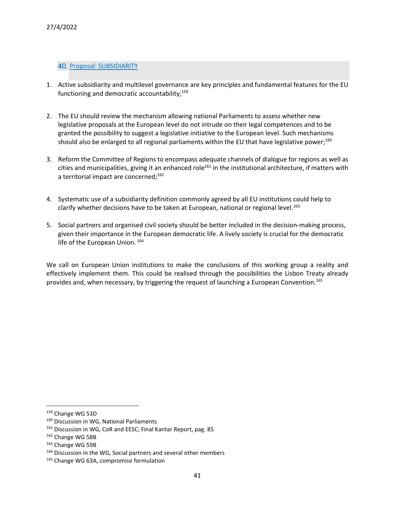### 40. Proposal: SUBSIDIARITY

- 1. Active subsidiarity and multilevel governance are key principles and fundamental features for the EU functioning and democratic accountability; $159$
- 2. The EU should review the mechanism allowing national Parliaments to assess whether new legislative proposals at the European level do not intrude on their legal competences and to be granted the possibility to suggest a legislative initiative to the European level. Such mechanisms should also be enlarged to all regional parliaments within the EU that have legislative power;<sup>160</sup>
- 3. Reform the Committee of Regions to encompass adequate channels of dialogue for regions as well as cities and municipalities, giving it an enhanced role<sup>161</sup> in the institutional architecture, if matters with a territorial impact are concerned;<sup>162</sup>
- 4. Systematic use of a subsidiarity definition commonly agreed by all EU institutions could help to clarify whether decisions have to be taken at European, national or regional level.<sup>163</sup>
- 5. Social partners and organised civil society should be better included in the decision-making process, given their importance in the European democratic life. A lively society is crucial for the democratic life of the European Union. 164

We call on European Union institutions to make the conclusions of this working group a reality and effectively implement them. This could be realised through the possibilities the Lisbon Treaty already provides and, when necessary, by triggering the request of launching a European Convention.<sup>165</sup>

<sup>159</sup> Change WG 53D

<sup>160</sup> Discussion in WG, National Parliaments

<sup>&</sup>lt;sup>161</sup> Discussion in WG, CoR and EESC; Final Kantar Report, pag. 85

<sup>162</sup> Change WG 58B

<sup>163</sup> Change WG 59B

<sup>&</sup>lt;sup>164</sup> Discussion in the WG, Social partners and several other members

<sup>165</sup> Change WG 63A, compromise formulation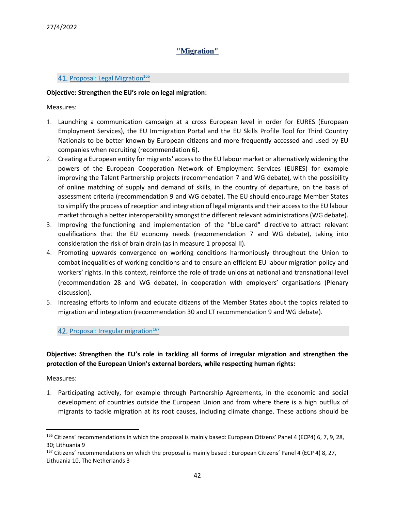# **"Migration"**

### <span id="page-41-0"></span>41. Proposal: Legal Migration<sup>166</sup>

### **Objective: Strengthen the EU's role on legal migration:**

Measures:

- 1. Launching a communication campaign at a cross European level in order for EURES (European Employment Services), the EU Immigration Portal and the EU Skills Profile Tool for Third Country Nationals to be better known by European citizens and more frequently accessed and used by EU companies when recruiting (recommendation 6).
- 2. Creating a European entity for migrants' access to the EU labour market or alternatively widening the powers of the European Cooperation Network of Employment Services (EURES) for example improving the Talent Partnership projects (recommendation 7 and WG debate), with the possibility of online matching of supply and demand of skills, in the country of departure, on the basis of assessment criteria (recommendation 9 and WG debate). The EU should encourage Member States to simplify the process of reception and integration of legal migrants and their access to the EU labour market through a better interoperability amongst the different relevant administrations(WG debate).
- 3. Improving the functioning and implementation of the "blue card" directive to attract relevant qualifications that the EU economy needs (recommendation 7 and WG debate), taking into consideration the risk of brain drain (as in measure 1 proposal II).
- 4. Promoting upwards convergence on working conditions harmoniously throughout the Union to combat inequalities of working conditions and to ensure an efficient EU labour migration policy and workers' rights. In this context, reinforce the role of trade unions at national and transnational level (recommendation 28 and WG debate), in cooperation with employers' organisations (Plenary discussion).
- 5. Increasing efforts to inform and educate citizens of the Member States about the topics related to migration and integration (recommendation 30 and LT recommendation 9 and WG debate).

42. Proposal: Irregular migration<sup>167</sup>

# **Objective: Strengthen the EU's role in tackling all forms of irregular migration and strengthen the protection of the European Union's external borders, while respecting human rights:**

Measures:

1. Participating actively, for example through Partnership Agreements, in the economic and social development of countries outside the European Union and from where there is a high outflux of migrants to tackle migration at its root causes, including climate change. These actions should be

<sup>166</sup> Citizens' recommendations in which the proposal is mainly based: European Citizens' Panel 4 (ECP4) 6, 7, 9, 28, 30; Lithuania 9

<sup>167</sup> Citizens' recommendations on which the proposal is mainly based : European Citizens' Panel 4 (ECP 4) 8, 27, Lithuania 10, The Netherlands 3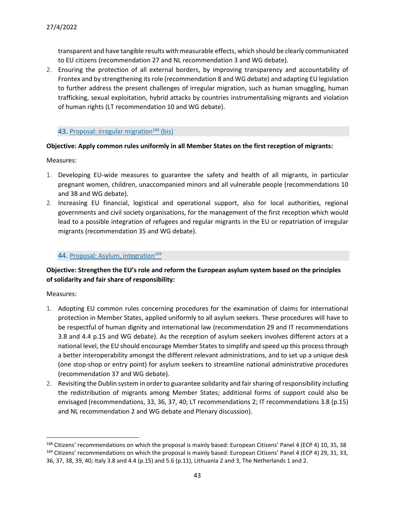transparent and have tangible results with measurable effects, which should be clearly communicated to EU citizens (recommendation 27 and NL recommendation 3 and WG debate).

2. Ensuring the protection of all external borders, by improving transparency and accountability of Frontex and by strengthening its role (recommendation 8 and WG debate) and adapting EU legislation to further address the present challenges of irregular migration, such as human smuggling, human trafficking, sexual exploitation, hybrid attacks by countries instrumentalising migrants and violation of human rights (LT recommendation 10 and WG debate).

### 43. Proposal: irregular migration<sup>168</sup> (bis)

# **Objective: Apply common rules uniformly in all Member States on the first reception of migrants:**

Measures:

- 1. Developing EU-wide measures to guarantee the safety and health of all migrants, in particular pregnant women, children, unaccompanied minors and all vulnerable people (recommendations 10 and 38 and WG debate).
- 2. Increasing EU financial, logistical and operational support, also for local authorities, regional governments and civil society organisations, for the management of the first reception which would lead to a possible integration of refugees and regular migrants in the EU or repatriation of irregular migrants (recommendation 35 and WG debate).

# 44. Proposal: Asylum, integration<sup>169</sup>

# **Objective: Strengthen the EU's role and reform the European asylum system based on the principles of solidarity and fair share of responsibility:**

- 1. Adopting EU common rules concerning procedures for the examination of claims for international protection in Member States, applied uniformly to all asylum seekers. These procedures will have to be respectful of human dignity and international law (recommendation 29 and IT recommendations 3.8 and 4.4 p.15 and WG debate). As the reception of asylum seekers involves different actors at a national level, the EU should encourage Member States to simplify and speed up this process through a better interoperability amongst the different relevant administrations, and to set up a unique desk (one stop-shop or entry point) for asylum seekers to streamline national administrative procedures (recommendation 37 and WG debate).
- 2. Revisiting the Dublin system in order to guarantee solidarity and fair sharing of responsibility including the redistribution of migrants among Member States; additional forms of support could also be envisaged (recommendations, 33, 36, 37, 40; LT recommendations 2; IT recommendations 3.8 (p.15) and NL recommendation 2 and WG debate and Plenary discussion).

<sup>168</sup> Citizens' recommendations on which the proposal is mainly based: European Citizens' Panel 4 (ECP 4) 10, 35, 38 <sup>169</sup> Citizens' recommendations on which the proposal is mainly based: European Citizens' Panel 4 (ECP 4) 29, 31, 33, 36, 37, 38, 39, 40; Italy 3.8 and 4.4 (p.15) and 5.6 (p.11), Lithuania 2 and 3, The Netherlands 1 and 2.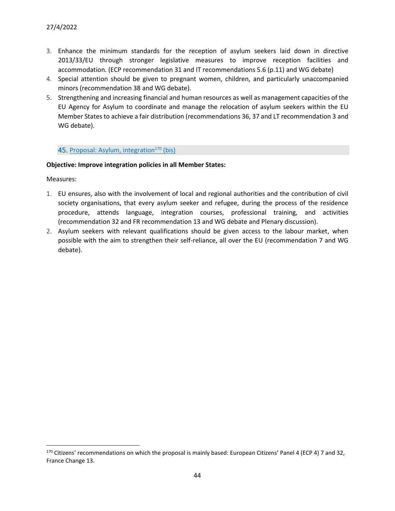- 3. Enhance the minimum standards for the reception of asylum seekers laid down in directive 2013/33/EU through stronger legislative measures to improve reception facilities and accommodation. (ECP recommendation 31 and IT recommendations 5.6 (p.11) and WG debate)
- 4. Special attention should be given to pregnant women, children, and particularly unaccompanied minors (recommendation 38 and WG debate).
- 5. Strengthening and increasing financial and human resources as well as management capacities of the EU Agency for Asylum to coordinate and manage the relocation of asylum seekers within the EU Member States to achieve a fair distribution (recommendations 36, 37 and LT recommendation 3 and WG debate).

### 45. Proposal: Asylum, integration<sup>170</sup> (bis)

### **Objective: Improve integration policies in all Member States:**

- 1. EU ensures, also with the involvement of local and regional authorities and the contribution of civil society organisations, that every asylum seeker and refugee, during the process of the residence procedure, attends language, integration courses, professional training, and activities (recommendation 32 and FR recommendation 13 and WG debate and Plenary discussion).
- 2. Asylum seekers with relevant qualifications should be given access to the labour market, when possible with the aim to strengthen their self-reliance, all over the EU (recommendation 7 and WG debate).

<sup>170</sup> Citizens' recommendations on which the proposal is mainly based: European Citizens' Panel 4 (ECP 4) 7 and 32, France Change 13.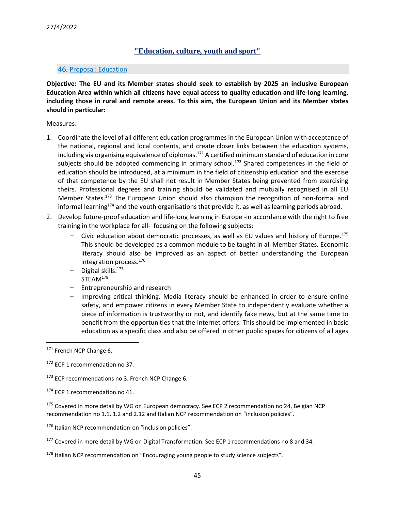# **"Education, culture, youth and sport"**

#### <span id="page-44-0"></span>46. Proposal: Education

**Objective: The EU and its Member states should seek to establish by 2025 an inclusive European Education Area within which all citizens have equal access to quality education and life-long learning, including those in rural and remote areas. To this aim, the European Union and its Member states should in particular:**

#### Measures:

- 1. Coordinate the level of all different education programmes in the European Union with acceptance of the national, regional and local contents, and create closer links between the education systems, including via organising equivalence of diplomas.<sup>171</sup> A certified minimum standard of education in core subjects should be adopted commencing in primary school.**<sup>172</sup>** Shared competences in the field of education should be introduced, at a minimum in the field of citizenship education and the exercise of that competence by the EU shall not result in Member States being prevented from exercising theirs. Professional degrees and training should be validated and mutually recognised in all EU Member States.<sup>173</sup> The European Union should also champion the recognition of non-formal and informal learning<sup>174</sup> and the youth organisations that provide it, as well as learning periods abroad.
- 2. Develop future-proof education and life-long learning in Europe -in accordance with the right to free training in the workplace for all- focusing on the following subjects:
	- − Civic education about democratic processes, as well as EU values and history of Europe.<sup>175</sup> This should be developed as a common module to be taught in all Member States. Economic literacy should also be improved as an aspect of better understanding the European integration process.<sup>176</sup>
	- − Digital skills.<sup>177</sup>
	- − STEAM<sup>178</sup>
	- − Entrepreneurship and research
	- − Improving critical thinking. Media literacy should be enhanced in order to ensure online safety, and empower citizens in every Member State to independently evaluate whether a piece of information is trustworthy or not, and identify fake news, but at the same time to benefit from the opportunities that the Internet offers. This should be implemented in basic education as a specific class and also be offered in other public spaces for citizens of all ages

<sup>175</sup> Covered in more detail by WG on European democracy. See ECP 2 recommendation no 24, Belgian NCP recommendation no 1.1, 1.2 and 2.12 and Italian NCP recommendation on "inclusion policies".

176 Italian NCP recommendation-on "inclusion policies".

<sup>178</sup> Italian NCP recommendation on "Encouraging young people to study science subjects".

<sup>171</sup> French NCP Change 6.

<sup>&</sup>lt;sup>172</sup> ECP 1 recommendation no 37.

<sup>&</sup>lt;sup>173</sup> ECP recommendations no 3. French NCP Change 6.

<sup>&</sup>lt;sup>174</sup> ECP 1 recommendation no 41.

<sup>&</sup>lt;sup>177</sup> Covered in more detail by WG on Digital Transformation. See ECP 1 recommendations no 8 and 34.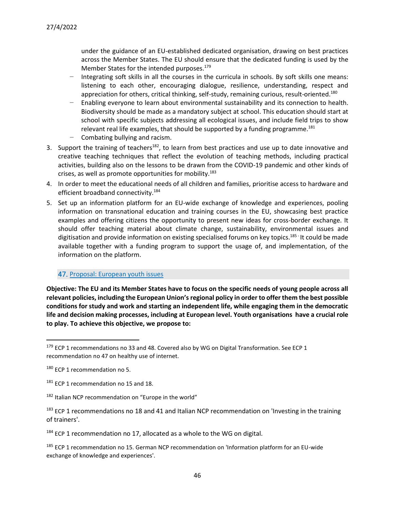under the guidance of an EU-established dedicated organisation, drawing on best practices across the Member States. The EU should ensure that the dedicated funding is used by the Member States for the intended purposes.<sup>179</sup>

- Integrating soft skills in all the courses in the curricula in schools. By soft skills one means: listening to each other, encouraging dialogue, resilience, understanding, respect and appreciation for others, critical thinking, self-study, remaining curious, result-oriented.<sup>180</sup>
- Enabling everyone to learn about environmental sustainability and its connection to health. Biodiversity should be made as a mandatory subject at school. This education should start at school with specific subjects addressing all ecological issues, and include field trips to show relevant real life examples, that should be supported by a funding programme. $181$
- − Combating bullying and racism.
- 3. Support the training of teachers<sup>182</sup>, to learn from best practices and use up to date innovative and creative teaching techniques that reflect the evolution of teaching methods, including practical activities, building also on the lessons to be drawn from the COVID-19 pandemic and other kinds of crises, as well as promote opportunities for mobility.<sup>183</sup>
- 4. In order to meet the educational needs of all children and families, prioritise access to hardware and efficient broadband connectivity.<sup>184</sup>
- 5. Set up an information platform for an EU-wide exchange of knowledge and experiences, pooling information on transnational education and training courses in the EU, showcasing best practice examples and offering citizens the opportunity to present new ideas for cross-border exchange. It should offer teaching material about climate change, sustainability, environmental issues and digitisation and provide information on existing specialised forums on key topics.<sup>185-</sup>It could be made available together with a funding program to support the usage of, and implementation, of the information on the platform.

# 47. Proposal: European youth issues

**Objective: The EU and its Member States have to focus on the specific needs of young people across all relevant policies, including the European Union's regional policy in order to offer them the best possible conditions for study and work and starting an independent life, while engaging them in the democratic life and decision making processes, including at European level. Youth organisations have a crucial role to play. To achieve this objective, we propose to:**

 $179$  ECP 1 recommendations no 33 and 48. Covered also by WG on Digital Transformation. See ECP 1 recommendation no 47 on healthy use of internet.

<sup>180</sup> ECP 1 recommendation no 5.

<sup>&</sup>lt;sup>181</sup> ECP 1 recommendation no 15 and 18.

<sup>182</sup> Italian NCP recommendation on "Europe in the world"

 $183$  ECP 1 recommendations no 18 and 41 and Italian NCP recommendation on 'Investing in the training of trainers'.

<sup>&</sup>lt;sup>184</sup> ECP 1 recommendation no 17, allocated as a whole to the WG on digital.

<sup>&</sup>lt;sup>185</sup> ECP 1 recommendation no 15. German NCP recommendation on 'Information platform for an EU-wide exchange of knowledge and experiences'.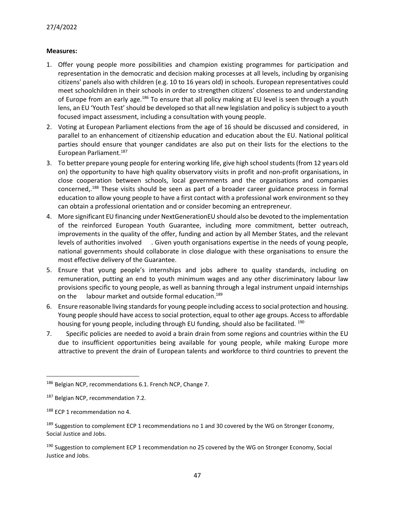- 1. Offer young people more possibilities and champion existing programmes for participation and representation in the democratic and decision making processes at all levels, including by organising citizens' panels also with children (e.g. 10 to 16 years old) in schools. European representatives could meet schoolchildren in their schools in order to strengthen citizens' closeness to and understanding of Europe from an early age.<sup>186</sup> To ensure that all policy making at EU level is seen through a youth lens, an EU 'Youth Test' should be developed so that all new legislation and policy is subject to a youth focused impact assessment, including a consultation with young people.
- 2. Voting at European Parliament elections from the age of 16 should be discussed and considered, in parallel to an enhancement of citizenship education and education about the EU. National political parties should ensure that younger candidates are also put on their lists for the elections to the European Parliament.<sup>187</sup>
- 3. To better prepare young people for entering working life, give high school students (from 12 years old on) the opportunity to have high quality observatory visits in profit and non-profit organisations, in close cooperation between schools, local governments and the organisations and companies concerned,.<sup>188</sup> These visits should be seen as part of a broader career guidance process in formal education to allow young people to have a first contact with a professional work environment so they can obtain a professional orientation and or consider becoming an entrepreneur.
- 4. More significant EU financing under NextGenerationEU should also be devoted to the implementation of the reinforced European Youth Guarantee, including more commitment, better outreach, improvements in the quality of the offer, funding and action by all Member States, and the relevant levels of authorities involved . Given youth organisations expertise in the needs of young people, national governments should collaborate in close dialogue with these organisations to ensure the most effective delivery of the Guarantee.
- 5. Ensure that young people's internships and jobs adhere to quality standards, including on remuneration, putting an end to youth minimum wages and any other discriminatory labour law provisions specific to young people, as well as banning through a legal instrument unpaid internships on the labour market and outside formal education.<sup>189</sup>
- 6. Ensure reasonable living standards for young people including access to social protection and housing. Young people should have access to social protection, equal to other age groups. Access to affordable housing for young people, including through EU funding, should also be facilitated. <sup>190</sup>
- 7. Specific policies are needed to avoid a brain drain from some regions and countries within the EU due to insufficient opportunities being available for young people, while making Europe more attractive to prevent the drain of European talents and workforce to third countries to prevent the

<sup>186</sup> Belgian NCP, recommendations 6.1. French NCP, Change 7.

<sup>&</sup>lt;sup>187</sup> Belgian NCP, recommendation 7.2.

<sup>188</sup> ECP 1 recommendation no 4.

 $189$  Suggestion to complement ECP 1 recommendations no 1 and 30 covered by the WG on Stronger Economy, Social Justice and Jobs.

<sup>&</sup>lt;sup>190</sup> Suggestion to complement ECP 1 recommendation no 25 covered by the WG on Stronger Economy, Social Justice and Jobs.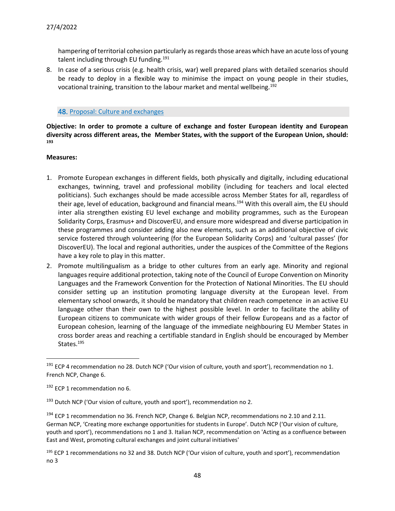hampering of territorial cohesion particularly as regards those areas which have an acute loss of young talent including through EU funding.<sup>191</sup>

8. In case of a serious crisis (e.g. health crisis, war) well prepared plans with detailed scenarios should be ready to deploy in a flexible way to minimise the impact on young people in their studies, vocational training, transition to the labour market and mental wellbeing.<sup>192</sup>

### 48. Proposal: Culture and exchanges

**Objective: In order to promote a culture of exchange and foster European identity and European diversity across different areas, the Member States, with the support of the European Union, should: 193**

- 1. Promote European exchanges in different fields, both physically and digitally, including educational exchanges, twinning, travel and professional mobility (including for teachers and local elected politicians). Such exchanges should be made accessible across Member States for all, regardless of their age, level of education, background and financial means.<sup>194</sup> With this overall aim, the EU should inter alia strengthen existing EU level exchange and mobility programmes, such as the European Solidarity Corps, Erasmus+ and DiscoverEU, and ensure more widespread and diverse participation in these programmes and consider adding also new elements, such as an additional objective of civic service fostered through volunteering (for the European Solidarity Corps) and 'cultural passes' (for DiscoverEU). The local and regional authorities, under the auspices of the Committee of the Regions have a key role to play in this matter.
- 2. Promote multilingualism as a bridge to other cultures from an early age. Minority and regional languages require additional protection, taking note of the Council of Europe Convention on Minority Languages and the Framework Convention for the Protection of National Minorities. The EU should consider setting up an institution promoting language diversity at the European level. From elementary school onwards, it should be mandatory that children reach competence in an active EU language other than their own to the highest possible level. In order to facilitate the ability of European citizens to communicate with wider groups of their fellow Europeans and as a factor of European cohesion, learning of the language of the immediate neighbouring EU Member States in cross border areas and reaching a certifiable standard in English should be encouraged by Member States.<sup>195</sup>

 $191$  ECP 4 recommendation no 28. Dutch NCP ('Our vision of culture, youth and sport'), recommendation no 1. French NCP, Change 6.

 $192$  ECP 1 recommendation no 6.

 $193$  Dutch NCP ('Our vision of culture, youth and sport'), recommendation no 2.

<sup>&</sup>lt;sup>194</sup> ECP 1 recommendation no 36. French NCP, Change 6. Belgian NCP, recommendations no 2.10 and 2.11. German NCP, 'Creating more exchange opportunities for students in Europe'. Dutch NCP ('Our vision of culture, youth and sport'), recommendations no 1 and 3. Italian NCP, recommendation on 'Acting as a confluence between East and West, promoting cultural exchanges and joint cultural initiatives'

<sup>&</sup>lt;sup>195</sup> ECP 1 recommendations no 32 and 38. Dutch NCP ('Our vision of culture, youth and sport'), recommendation no 3